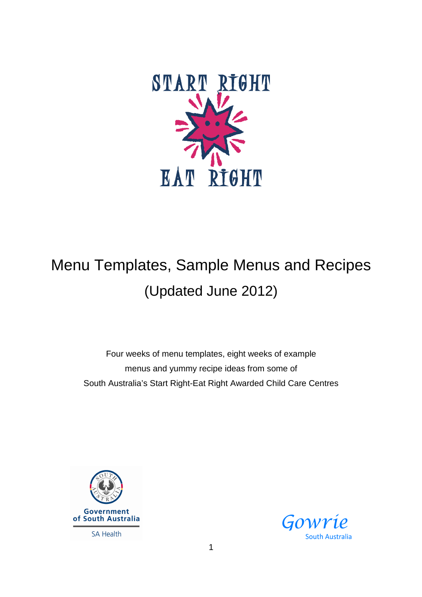

## Menu Templates, Sample Menus and Recipes (Updated June 2012)

Four weeks of menu templates, eight weeks of example menus and yummy recipe ideas from some of South Australia's Start Right-Eat Right Awarded Child Care Centres



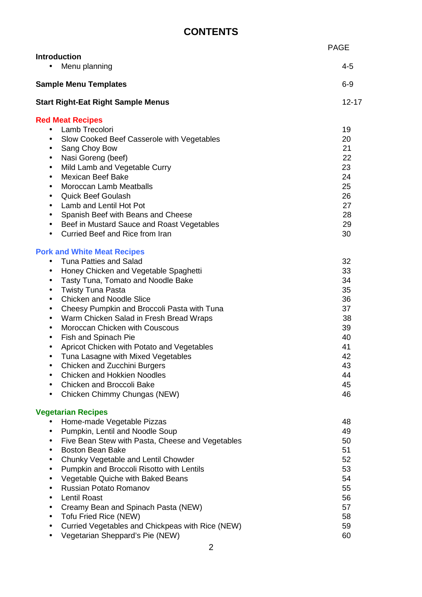## **CONTENTS**

|                                                                                                                                                                                                                                                                                                                                                                                                                                                                                                                                                                                                                                                                                                                                       | <b>PAGE</b>                                                                            |
|---------------------------------------------------------------------------------------------------------------------------------------------------------------------------------------------------------------------------------------------------------------------------------------------------------------------------------------------------------------------------------------------------------------------------------------------------------------------------------------------------------------------------------------------------------------------------------------------------------------------------------------------------------------------------------------------------------------------------------------|----------------------------------------------------------------------------------------|
| <b>Introduction</b><br>Menu planning<br>$\bullet$                                                                                                                                                                                                                                                                                                                                                                                                                                                                                                                                                                                                                                                                                     | 4-5                                                                                    |
| <b>Sample Menu Templates</b>                                                                                                                                                                                                                                                                                                                                                                                                                                                                                                                                                                                                                                                                                                          | $6-9$                                                                                  |
| <b>Start Right-Eat Right Sample Menus</b>                                                                                                                                                                                                                                                                                                                                                                                                                                                                                                                                                                                                                                                                                             | $12 - 17$                                                                              |
| <b>Red Meat Recipes</b><br>Lamb Trecolori<br>$\bullet$<br>Slow Cooked Beef Casserole with Vegetables<br>$\bullet$<br>Sang Choy Bow<br>$\bullet$<br>Nasi Goreng (beef)<br>$\bullet$<br>Mild Lamb and Vegetable Curry<br>$\bullet$<br><b>Mexican Beef Bake</b><br>$\bullet$<br><b>Moroccan Lamb Meatballs</b><br>$\bullet$<br><b>Quick Beef Goulash</b><br>٠<br>Lamb and Lentil Hot Pot<br>$\bullet$<br>Spanish Beef with Beans and Cheese<br>$\bullet$<br>Beef in Mustard Sauce and Roast Vegetables<br>$\bullet$<br>Curried Beef and Rice from Iran                                                                                                                                                                                   | 19<br>20<br>21<br>22<br>23<br>24<br>25<br>26<br>27<br>28<br>29<br>30                   |
| <b>Pork and White Meat Recipes</b><br><b>Tuna Patties and Salad</b><br>$\bullet$<br>Honey Chicken and Vegetable Spaghetti<br>$\bullet$<br>Tasty Tuna, Tomato and Noodle Bake<br>$\bullet$<br><b>Twisty Tuna Pasta</b><br>$\bullet$<br><b>Chicken and Noodle Slice</b><br>$\bullet$<br>Cheesy Pumpkin and Broccoli Pasta with Tuna<br>$\bullet$<br>Warm Chicken Salad in Fresh Bread Wraps<br>$\bullet$<br>Moroccan Chicken with Couscous<br>$\bullet$<br>Fish and Spinach Pie<br>$\bullet$<br>Apricot Chicken with Potato and Vegetables<br>$\bullet$<br>Tuna Lasagne with Mixed Vegetables<br>Chicken and Zucchini Burgers<br><b>Chicken and Hokkien Noodles</b><br><b>Chicken and Broccoli Bake</b><br>Chicken Chimmy Chungas (NEW) | 32<br>33<br>34<br>35<br>36<br>37<br>38<br>39<br>40<br>41<br>42<br>43<br>44<br>45<br>46 |
| <b>Vegetarian Recipes</b><br>Home-made Vegetable Pizzas<br>Pumpkin, Lentil and Noodle Soup<br>٠<br>Five Bean Stew with Pasta, Cheese and Vegetables<br>$\bullet$<br><b>Boston Bean Bake</b><br>$\bullet$<br>Chunky Vegetable and Lentil Chowder<br>$\bullet$<br>Pumpkin and Broccoli Risotto with Lentils<br>٠<br>Vegetable Quiche with Baked Beans<br>٠<br><b>Russian Potato Romanov</b><br>٠<br><b>Lentil Roast</b><br>$\bullet$<br>Creamy Bean and Spinach Pasta (NEW)<br><b>Tofu Fried Rice (NEW)</b><br>$\bullet$<br>Curried Vegetables and Chickpeas with Rice (NEW)<br>Vegetarian Sheppard's Pie (NEW)                                                                                                                         | 48<br>49<br>50<br>51<br>52<br>53<br>54<br>55<br>56<br>57<br>58<br>59<br>60             |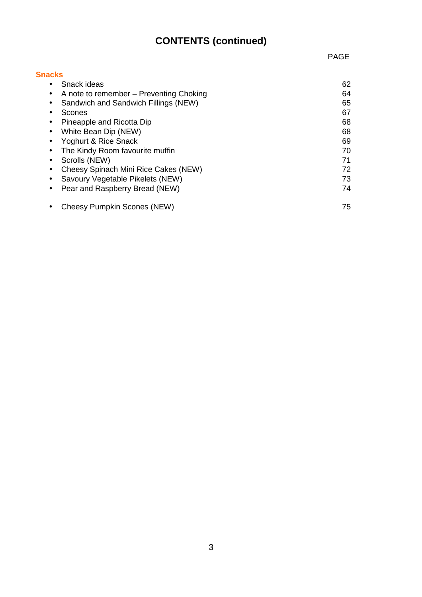## **CONTENTS (continued)**

| <b>Snacks</b>                                |    |
|----------------------------------------------|----|
| Snack ideas<br>$\bullet$                     | 62 |
| A note to remember – Preventing Choking<br>٠ | 64 |
| Sandwich and Sandwich Fillings (NEW)<br>٠    | 65 |
| Scones                                       | 67 |
| Pineapple and Ricotta Dip<br>٠               | 68 |
| White Bean Dip (NEW)<br>$\bullet$            | 68 |
| Yoghurt & Rice Snack<br>٠                    | 69 |
| The Kindy Room favourite muffin              | 70 |
| Scrolls (NEW)<br>٠                           | 71 |
| Cheesy Spinach Mini Rice Cakes (NEW)         | 72 |
| Savoury Vegetable Pikelets (NEW)             | 73 |
| Pear and Raspberry Bread (NEW)               | 74 |
| Cheesy Pumpkin Scones (NEW)                  | 75 |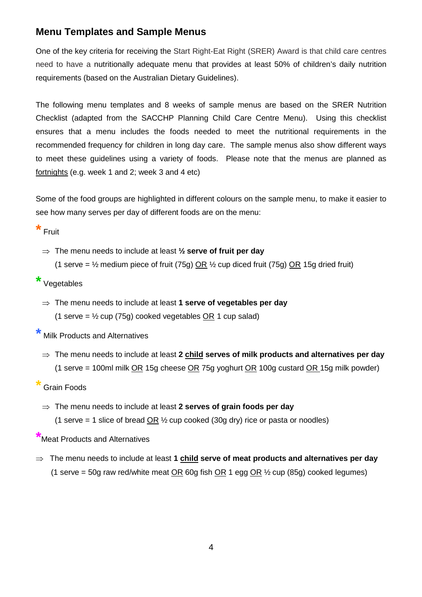#### **Menu Templates and Sample Menus**

One of the key criteria for receiving the Start Right-Eat Right (SRER) Award is that child care centres need to have a nutritionally adequate menu that provides at least 50% of children's daily nutrition requirements (based on the Australian Dietary Guidelines).

The following menu templates and 8 weeks of sample menus are based on the SRER Nutrition Checklist (adapted from the SACCHP Planning Child Care Centre Menu). Using this checklist ensures that a menu includes the foods needed to meet the nutritional requirements in the recommended frequency for children in long day care. The sample menus also show different ways to meet these guidelines using a variety of foods. Please note that the menus are planned as fortnights (e.g. week 1 and 2; week 3 and 4 etc)

Some of the food groups are highlighted in different colours on the sample menu, to make it easier to see how many serves per day of different foods are on the menu:

**\*** Fruit

⇒ The menu needs to include at least **½ serve of fruit per day** (1 serve =  $\frac{1}{2}$  medium piece of fruit (75g) OR  $\frac{1}{2}$  cup diced fruit (75g) OR 15g dried fruit)

#### **\*** Vegetables

⇒ The menu needs to include at least **1 serve of vegetables per day** (1 serve =  $\frac{1}{2}$  cup (75g) cooked vegetables OR 1 cup salad)

**\*** Milk Products and Alternatives

⇒ The menu needs to include at least **2 child serves of milk products and alternatives per day** (1 serve = 100ml milk  $OR$  15g cheese  $OR$  75g yoghurt  $OR$  100g custard  $OR$  15g milk powder)

#### **\*** Grain Foods

⇒ The menu needs to include at least **2 serves of grain foods per day** (1 serve = 1 slice of bread  $OR \frac{1}{2}$  cup cooked (30g dry) rice or pasta or noodles)

**\***Meat Products and Alternatives

⇒ The menu needs to include at least **1 child serve of meat products and alternatives per day (1 serve = 50g raw red/white meat <u>OR</u> 60g fish OR 1 egg OR**  $\frac{1}{2}$  cup (85g) cooked legumes)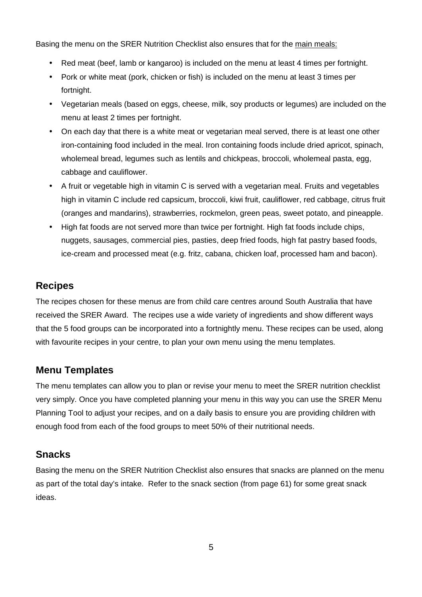Basing the menu on the SRER Nutrition Checklist also ensures that for the main meals:

- Red meat (beef, lamb or kangaroo) is included on the menu at least 4 times per fortnight.
- Pork or white meat (pork, chicken or fish) is included on the menu at least 3 times per fortnight.
- Vegetarian meals (based on eggs, cheese, milk, soy products or legumes) are included on the menu at least 2 times per fortnight.
- On each day that there is a white meat or vegetarian meal served, there is at least one other iron-containing food included in the meal. Iron containing foods include dried apricot, spinach, wholemeal bread, legumes such as lentils and chickpeas, broccoli, wholemeal pasta, egg, cabbage and cauliflower.
- A fruit or vegetable high in vitamin C is served with a vegetarian meal. Fruits and vegetables high in vitamin C include red capsicum, broccoli, kiwi fruit, cauliflower, red cabbage, citrus fruit (oranges and mandarins), strawberries, rockmelon, green peas, sweet potato, and pineapple.
- High fat foods are not served more than twice per fortnight. High fat foods include chips, nuggets, sausages, commercial pies, pasties, deep fried foods, high fat pastry based foods, ice-cream and processed meat (e.g. fritz, cabana, chicken loaf, processed ham and bacon).

#### **Recipes**

The recipes chosen for these menus are from child care centres around South Australia that have received the SRER Award. The recipes use a wide variety of ingredients and show different ways that the 5 food groups can be incorporated into a fortnightly menu. These recipes can be used, along with favourite recipes in your centre, to plan your own menu using the menu templates.

#### **Menu Templates**

The menu templates can allow you to plan or revise your menu to meet the SRER nutrition checklist very simply. Once you have completed planning your menu in this way you can use the SRER Menu Planning Tool to adjust your recipes, and on a daily basis to ensure you are providing children with enough food from each of the food groups to meet 50% of their nutritional needs.

#### **Snacks**

Basing the menu on the SRER Nutrition Checklist also ensures that snacks are planned on the menu as part of the total day's intake. Refer to the snack section (from page 61) for some great snack ideas.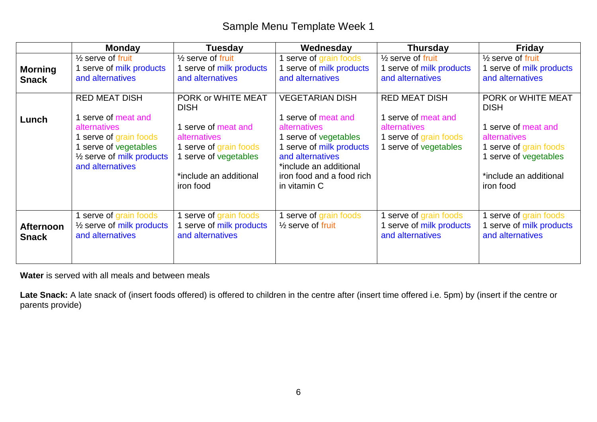|                                  | <b>Monday</b>                                                                                                                                                                 | <b>Tuesday</b>                                                                                                                                                     | Wednesday                                                                                                                                                                                               | <b>Thursday</b>                                                                                                       | <b>Friday</b>                                                                                                                                                  |
|----------------------------------|-------------------------------------------------------------------------------------------------------------------------------------------------------------------------------|--------------------------------------------------------------------------------------------------------------------------------------------------------------------|---------------------------------------------------------------------------------------------------------------------------------------------------------------------------------------------------------|-----------------------------------------------------------------------------------------------------------------------|----------------------------------------------------------------------------------------------------------------------------------------------------------------|
| <b>Morning</b><br><b>Snack</b>   | $\frac{1}{2}$ serve of fruit<br>serve of milk products<br>and alternatives                                                                                                    | $\frac{1}{2}$ serve of fruit<br>1 serve of milk products<br>and alternatives                                                                                       | serve of grain foods<br>serve of milk products<br>and alternatives                                                                                                                                      | $\frac{1}{2}$ serve of fruit<br>1 serve of milk products<br>and alternatives                                          | $\frac{1}{2}$ serve of fruit<br>serve of milk products<br>and alternatives                                                                                     |
| Lunch                            | <b>RED MEAT DISH</b><br>serve of meat and<br><b>alternatives</b><br>serve of grain foods<br>serve of vegetables<br>1/ <sub>2</sub> serve of milk products<br>and alternatives | PORK or WHITE MEAT<br><b>DISH</b><br>1 serve of meat and<br>alternatives<br>1 serve of grain foods<br>1 serve of vegetables<br>*include an additional<br>iron food | <b>VEGETARIAN DISH</b><br>serve of meat and<br>alternatives<br>serve of vegetables<br>serve of milk products<br>and alternatives<br>*include an additional<br>iron food and a food rich<br>in vitamin C | <b>RED MEAT DISH</b><br>1 serve of meat and<br><b>alternatives</b><br>1 serve of grain foods<br>1 serve of vegetables | PORK or WHITE MEAT<br><b>DISH</b><br>serve of meat and<br>alternatives<br>1 serve of grain foods<br>serve of vegetables<br>*include an additional<br>iron food |
| <b>Afternoon</b><br><b>Snack</b> | serve of grain foods<br>$\frac{1}{2}$ serve of milk products<br>and alternatives                                                                                              | 1 serve of grain foods<br>serve of milk products<br>and alternatives                                                                                               | serve of grain foods<br>$\frac{1}{2}$ serve of fruit                                                                                                                                                    | I serve of grain foods<br>1 serve of milk products<br>and alternatives                                                | serve of grain foods<br>serve of milk products<br>and alternatives                                                                                             |

**Water** is served with all meals and between meals

**Late Snack:** A late snack of (insert foods offered) is offered to children in the centre after (insert time offered i.e. 5pm) by (insert if the centre or parents provide)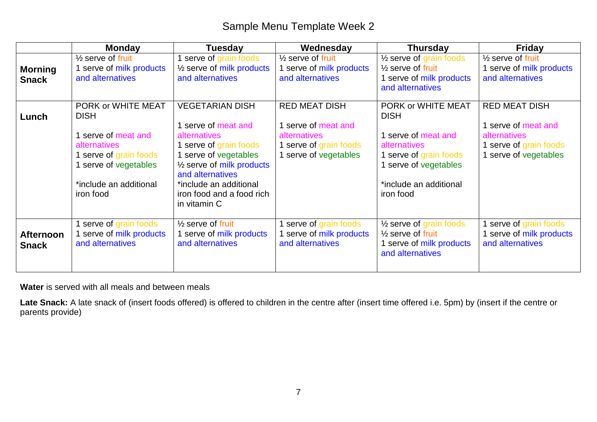|                                  | <b>Monday</b>                                                                                                                                                | Tuesday                                                                                                                                                                                                                                             | Wednesday                                                                                                    | <b>Thursday</b>                                                                                                                                                    | <b>Friday</b>                                                                                                  |
|----------------------------------|--------------------------------------------------------------------------------------------------------------------------------------------------------------|-----------------------------------------------------------------------------------------------------------------------------------------------------------------------------------------------------------------------------------------------------|--------------------------------------------------------------------------------------------------------------|--------------------------------------------------------------------------------------------------------------------------------------------------------------------|----------------------------------------------------------------------------------------------------------------|
| <b>Morning</b><br><b>Snack</b>   | $\frac{1}{2}$ serve of fruit<br>serve of milk products<br>and alternatives                                                                                   | 1 serve of grain foods<br>$\frac{1}{2}$ serve of milk products<br>and alternatives                                                                                                                                                                  | $\frac{1}{2}$ serve of fruit<br>serve of milk products<br>and alternatives                                   | $\frac{1}{2}$ serve of grain foods<br>$\frac{1}{2}$ serve of fruit<br>1 serve of milk products<br>and alternatives                                                 | $\frac{1}{2}$ serve of fruit<br>1 serve of milk products<br>and alternatives                                   |
| Lunch                            | PORK or WHITE MEAT<br><b>DISH</b><br>serve of meat and<br>alternatives<br>serve of grain foods<br>serve of vegetables<br>*include an additional<br>iron food | <b>VEGETARIAN DISH</b><br>1 serve of meat and<br>alternatives<br>1 serve of grain foods<br>1 serve of vegetables<br>$\frac{1}{2}$ serve of milk products<br>and alternatives<br>*include an additional<br>iron food and a food rich<br>in vitamin C | <b>RED MEAT DISH</b><br>1 serve of meat and<br>alternatives<br>serve of grain foods<br>1 serve of vegetables | PORK or WHITE MEAT<br><b>DISH</b><br>1 serve of meat and<br>alternatives<br>1 serve of grain foods<br>1 serve of vegetables<br>*include an additional<br>iron food | <b>RED MEAT DISH</b><br>1 serve of meat and<br>alternatives<br>1 serve of grain foods<br>1 serve of vegetables |
| <b>Afternoon</b><br><b>Snack</b> | serve of grain foods<br>serve of milk products<br>and alternatives                                                                                           | $\frac{1}{2}$ serve of fruit<br>1 serve of milk products<br>and alternatives                                                                                                                                                                        | serve of grain foods<br>serve of milk products<br>and alternatives                                           | $\frac{1}{2}$ serve of grain foods<br>$\frac{1}{2}$ serve of fruit<br>1 serve of milk products<br>and alternatives                                                 | I serve of grain foods<br>1 serve of milk products<br>and alternatives                                         |

**Water** is served with all meals and between meals

**Late Snack:** A late snack of (insert foods offered) is offered to children in the centre after (insert time offered i.e. 5pm) by (insert if the centre or parents provide)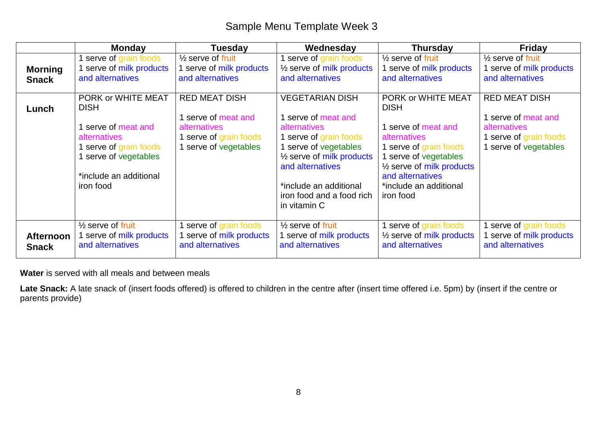|                                  | <b>Monday</b>                                                                                                                                                       | <b>Tuesday</b>                                                                                             | Wednesday                                                                                                                                                                                                                                             | <b>Thursday</b>                                                                                                                                                                                                                | <b>Friday</b>                                                                                              |
|----------------------------------|---------------------------------------------------------------------------------------------------------------------------------------------------------------------|------------------------------------------------------------------------------------------------------------|-------------------------------------------------------------------------------------------------------------------------------------------------------------------------------------------------------------------------------------------------------|--------------------------------------------------------------------------------------------------------------------------------------------------------------------------------------------------------------------------------|------------------------------------------------------------------------------------------------------------|
| <b>Morning</b><br><b>Snack</b>   | serve of grain foods<br>serve of milk products<br>and alternatives                                                                                                  | $\frac{1}{2}$ serve of fruit<br>1 serve of milk products<br>and alternatives                               | 1 serve of grain foods<br>$\frac{1}{2}$ serve of milk products<br>and alternatives                                                                                                                                                                    | $\frac{1}{2}$ serve of fruit<br>1 serve of milk products<br>and alternatives                                                                                                                                                   | $\frac{1}{2}$ serve of fruit<br>I serve of milk products<br>and alternatives                               |
| Lunch                            | PORK or WHITE MEAT<br><b>DISH</b><br>serve of meat and<br><b>alternatives</b><br>serve of grain foods<br>serve of vegetables<br>*include an additional<br>iron food | <b>RED MEAT DISH</b><br>serve of meat and<br>alternatives<br>1 serve of grain foods<br>serve of vegetables | <b>VEGETARIAN DISH</b><br>1 serve of meat and<br>alternatives<br>1 serve of grain foods<br>1 serve of vegetables<br>1/ <sub>2</sub> serve of milk products<br>and alternatives<br>*include an additional<br>iron food and a food rich<br>in vitamin C | PORK or WHITE MEAT<br><b>DISH</b><br>1 serve of meat and<br>alternatives<br>1 serve of grain foods<br>serve of vegetables<br>1/ <sub>2</sub> serve of milk products<br>and alternatives<br>*include an additional<br>iron food | <b>RED MEAT DISH</b><br>serve of meat and<br>alternatives<br>1 serve of grain foods<br>serve of vegetables |
| <b>Afternoon</b><br><b>Snack</b> | $\frac{1}{2}$ serve of fruit<br>I serve of milk products<br>and alternatives                                                                                        | serve of grain foods<br>1 serve of milk products<br>and alternatives                                       | $\frac{1}{2}$ serve of fruit<br>serve of milk products<br>and alternatives                                                                                                                                                                            | 1 serve of grain foods<br>$\frac{1}{2}$ serve of milk products<br>and alternatives                                                                                                                                             | serve of grain foods<br>serve of milk products<br>and alternatives                                         |

**Water** is served with all meals and between meals

Late Snack: A late snack of (insert foods offered) is offered to children in the centre after (insert time offered i.e. 5pm) by (insert if the centre or parents provide)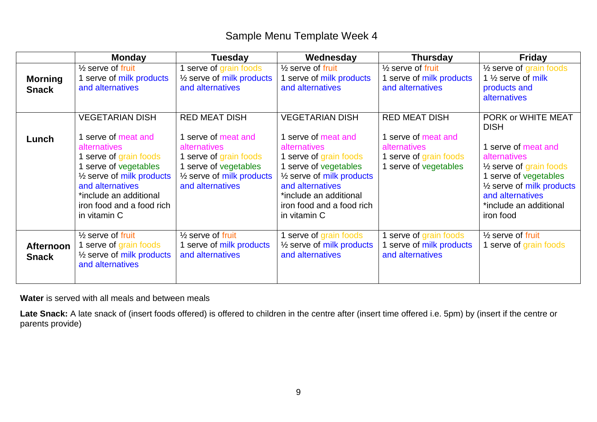|                                  | <b>Monday</b>                                                                                                                                                                                                                                     | <b>Tuesday</b>                                                                                                                                                         | Wednesday                                                                                                                                                                                                                                                  | <b>Thursday</b>                                                                                                | <b>Friday</b>                                                                                                                                                                                                                                |
|----------------------------------|---------------------------------------------------------------------------------------------------------------------------------------------------------------------------------------------------------------------------------------------------|------------------------------------------------------------------------------------------------------------------------------------------------------------------------|------------------------------------------------------------------------------------------------------------------------------------------------------------------------------------------------------------------------------------------------------------|----------------------------------------------------------------------------------------------------------------|----------------------------------------------------------------------------------------------------------------------------------------------------------------------------------------------------------------------------------------------|
| <b>Morning</b><br><b>Snack</b>   | $\frac{1}{2}$ serve of fruit<br>1 serve of milk products<br>and alternatives                                                                                                                                                                      | serve of grain foods<br>$\frac{1}{2}$ serve of milk products<br>and alternatives                                                                                       | $\frac{1}{2}$ serve of fruit<br>serve of milk products<br>and alternatives                                                                                                                                                                                 | $\frac{1}{2}$ serve of fruit<br>1 serve of milk products<br>and alternatives                                   | $\frac{1}{2}$ serve of grain foods<br>1 $\frac{1}{2}$ serve of milk<br>products and<br>alternatives                                                                                                                                          |
| Lunch                            | <b>VEGETARIAN DISH</b><br>1 serve of meat and<br>alternatives<br>serve of grain foods<br>serve of vegetables<br>1/ <sub>2</sub> serve of milk products<br>and alternatives<br>*include an additional<br>iron food and a food rich<br>in vitamin C | <b>RED MEAT DISH</b><br>serve of meat and<br>alternatives<br>serve of grain foods<br>serve of vegetables<br>1/ <sub>2</sub> serve of milk products<br>and alternatives | <b>VEGETARIAN DISH</b><br>1 serve of meat and<br><b>alternatives</b><br>1 serve of grain foods<br>1 serve of vegetables<br>$\frac{1}{2}$ serve of milk products<br>and alternatives<br>*include an additional<br>iron food and a food rich<br>in vitamin C | <b>RED MEAT DISH</b><br>1 serve of meat and<br>alternatives<br>1 serve of grain foods<br>1 serve of vegetables | PORK or WHITE MEAT<br><b>DISH</b><br>1 serve of meat and<br>alternatives<br>$\frac{1}{2}$ serve of grain foods<br>1 serve of vegetables<br>1/ <sub>2</sub> serve of milk products<br>and alternatives<br>*include an additional<br>iron food |
| <b>Afternoon</b><br><b>Snack</b> | $\frac{1}{2}$ serve of fruit<br>1 serve of grain foods<br>1/ <sub>2</sub> serve of milk products<br>and alternatives                                                                                                                              | $\frac{1}{2}$ serve of fruit<br>1 serve of milk products<br>and alternatives                                                                                           | 1 serve of grain foods<br>1/ <sub>2</sub> serve of milk products<br>and alternatives                                                                                                                                                                       | 1 serve of grain foods<br>serve of milk products<br>and alternatives                                           | $\frac{1}{2}$ serve of fruit<br>1 serve of grain foods                                                                                                                                                                                       |

**Water** is served with all meals and between meals

**Late Snack:** A late snack of (insert foods offered) is offered to children in the centre after (insert time offered i.e. 5pm) by (insert if the centre or parents provide)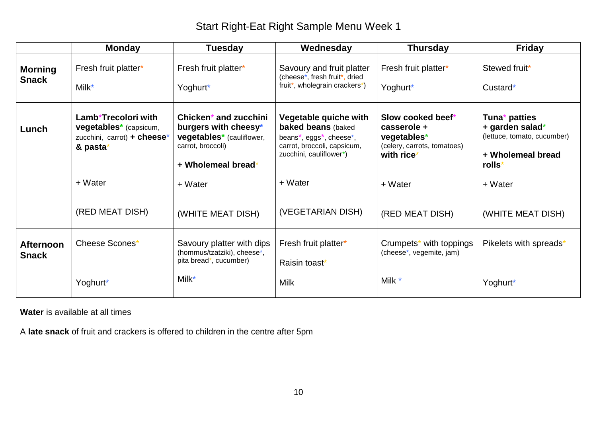|                                  | <b>Monday</b>                                                                                               | Tuesday                                                                                                               | Wednesday                                                                                                                                                                      | <b>Thursday</b>                                                                              | <b>Friday</b>                                                                                              |
|----------------------------------|-------------------------------------------------------------------------------------------------------------|-----------------------------------------------------------------------------------------------------------------------|--------------------------------------------------------------------------------------------------------------------------------------------------------------------------------|----------------------------------------------------------------------------------------------|------------------------------------------------------------------------------------------------------------|
| <b>Morning</b><br><b>Snack</b>   | Fresh fruit platter*<br>Milk*                                                                               | Fresh fruit platter*<br>Yoghurt*                                                                                      | Savoury and fruit platter<br>(cheese*, fresh fruit*, dried<br>fruit*, wholegrain crackers*)                                                                                    | Fresh fruit platter*<br>Yoghurt*                                                             | Stewed fruit*<br>Custard*                                                                                  |
| Lunch                            | Lamb*Trecolori with<br><b>vegetables</b> <sup>*</sup> (capsicum,<br>zucchini, carrot) + cheese*<br>& pasta* | Chicken* and zucchini<br>burgers with cheesy*<br>vegetables* (cauliflower,<br>carrot, broccoli)<br>+ Wholemeal bread* | Vegetable quiche with<br><b>baked beans (baked</b><br>beans <sup>*</sup> , eggs <sup>*</sup> , cheese <sup>*</sup> ,<br>carrot, broccoli, capsicum,<br>zucchini, cauliflower*) | Slow cooked beef*<br>casserole +<br>vegetables*<br>(celery, carrots, tomatoes)<br>with rice* | Tuna <sup>*</sup> patties<br>+ garden salad*<br>(lettuce, tomato, cucumber)<br>+ Wholemeal bread<br>rolls* |
|                                  | + Water                                                                                                     | + Water                                                                                                               | + Water                                                                                                                                                                        | + Water                                                                                      | + Water                                                                                                    |
|                                  | (RED MEAT DISH)                                                                                             | (WHITE MEAT DISH)                                                                                                     | (VEGETARIAN DISH)                                                                                                                                                              | (RED MEAT DISH)                                                                              | (WHITE MEAT DISH)                                                                                          |
| <b>Afternoon</b><br><b>Snack</b> | Cheese Scones*                                                                                              | Savoury platter with dips<br>(hommus/tzatziki), cheese*,<br>pita bread*, cucumber)                                    | Fresh fruit platter*<br>Raisin toast*                                                                                                                                          | Crumpets <sup>*</sup> with toppings<br>(cheese*, vegemite, jam)                              | Pikelets with spreads*                                                                                     |
|                                  | Yoghurt*                                                                                                    | Milk*                                                                                                                 | <b>Milk</b>                                                                                                                                                                    | Milk *                                                                                       | Yoghurt*                                                                                                   |

**Water** is available at all times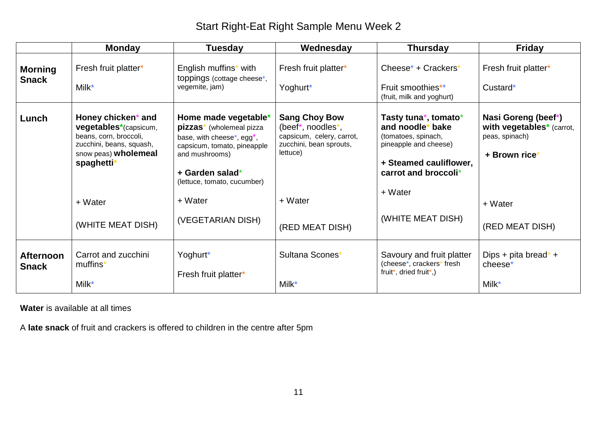|                                  | <b>Monday</b>                                                                                                                           | <b>Tuesday</b>                                                                                                                                                                                                         | Wednesday                                                                                                     | <b>Thursday</b>                                                                                                                            | <b>Friday</b>                                                                       |
|----------------------------------|-----------------------------------------------------------------------------------------------------------------------------------------|------------------------------------------------------------------------------------------------------------------------------------------------------------------------------------------------------------------------|---------------------------------------------------------------------------------------------------------------|--------------------------------------------------------------------------------------------------------------------------------------------|-------------------------------------------------------------------------------------|
| <b>Morning</b><br><b>Snack</b>   | Fresh fruit platter*<br>Milk*                                                                                                           | English muffins* with<br>toppings (cottage cheese*,<br>vegemite, jam)                                                                                                                                                  | Fresh fruit platter*<br>Yoghurt*                                                                              | Cheese* + Crackers*<br>Fruit smoothies**<br>(fruit, milk and yoghurt)                                                                      | Fresh fruit platter*<br>Custard*                                                    |
| Lunch                            | Honey chicken* and<br>vegetables*(capsicum,<br>beans, corn, broccoli,<br>zucchini, beans, squash,<br>snow peas) wholemeal<br>spaghetti* | Home made vegetable*<br>pizzas <sup>*</sup> (wholemeal pizza<br>base, with cheese <sup>*</sup> , egg <sup>*</sup> ,<br>capsicum, tomato, pineapple<br>and mushrooms)<br>+ Garden salad*<br>(lettuce, tomato, cucumber) | <b>Sang Choy Bow</b><br>(beef*, noodles*,<br>capsicum, celery, carrot,<br>zucchini, bean sprouts,<br>lettuce) | Tasty tuna*, tomato*<br>and noodle* bake<br>(tomatoes, spinach,<br>pineapple and cheese)<br>+ Steamed cauliflower,<br>carrot and broccoli* | Nasi Goreng (beef*)<br>with vegetables* (carrot,<br>peas, spinach)<br>+ Brown rice* |
|                                  | + Water                                                                                                                                 | + Water                                                                                                                                                                                                                | + Water                                                                                                       | + Water                                                                                                                                    | + Water                                                                             |
|                                  | (WHITE MEAT DISH)                                                                                                                       | (VEGETARIAN DISH)                                                                                                                                                                                                      | (RED MEAT DISH)                                                                                               | (WHITE MEAT DISH)                                                                                                                          | (RED MEAT DISH)                                                                     |
| <b>Afternoon</b><br><b>Snack</b> | Carrot and zucchini<br>muffins <sup>*</sup><br>Milk*                                                                                    | Yoghurt*<br>Fresh fruit platter*                                                                                                                                                                                       | Sultana Scones*<br>Milk*                                                                                      | Savoury and fruit platter<br>(cheese*, crackers* fresh<br>fruit*, dried fruit*,)                                                           | Dips + pita bread* +<br>cheese*<br>Milk*                                            |

**Water** is available at all times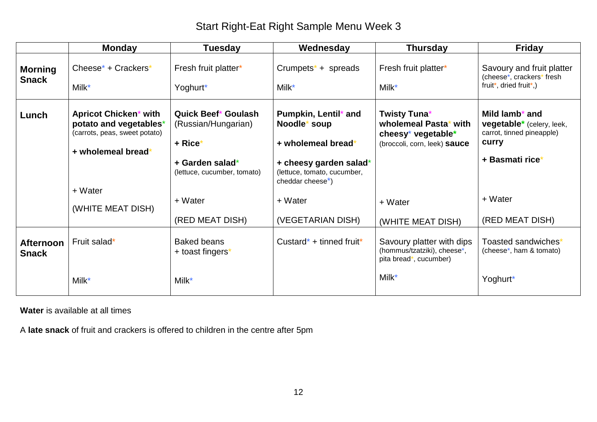|                                  | <b>Monday</b>                                                                                                 | <b>Tuesday</b>                                                                                                 | Wednesday                                                                                                                                            | <b>Thursday</b>                                                                             | <b>Friday</b>                                                                                                    |
|----------------------------------|---------------------------------------------------------------------------------------------------------------|----------------------------------------------------------------------------------------------------------------|------------------------------------------------------------------------------------------------------------------------------------------------------|---------------------------------------------------------------------------------------------|------------------------------------------------------------------------------------------------------------------|
| <b>Morning</b><br><b>Snack</b>   | Cheese* + Crackers*<br>Milk*                                                                                  | Fresh fruit platter*<br>Yoghurt*                                                                               | Crumpets <sup>*</sup> + spreads<br>Milk*                                                                                                             | Fresh fruit platter*<br>Milk*                                                               | Savoury and fruit platter<br>(cheese*, crackers* fresh<br>fruit*, dried fruit*,)                                 |
| Lunch                            | <b>Apricot Chicken* with</b><br>potato and vegetables*<br>(carrots, peas, sweet potato)<br>+ wholemeal bread* | <b>Quick Beef* Goulash</b><br>(Russian/Hungarian)<br>+ Rice*<br>+ Garden salad*<br>(lettuce, cucumber, tomato) | Pumpkin, Lentil* and<br>Noodle* soup<br>+ wholemeal bread*<br>+ cheesy garden salad*<br>(lettuce, tomato, cucumber,<br>cheddar cheese <sup>*</sup> ) | Twisty Tuna*<br>wholemeal Pasta* with<br>cheesy* vegetable*<br>(broccoli, corn, leek) sauce | Mild lamb <sup>*</sup> and<br>vegetable* (celery, leek,<br>carrot, tinned pineapple)<br>curry<br>+ Basmati rice* |
|                                  | + Water<br>(WHITE MEAT DISH)                                                                                  | + Water<br>(RED MEAT DISH)                                                                                     | + Water<br>(VEGETARIAN DISH)                                                                                                                         | + Water<br>(WHITE MEAT DISH)                                                                | + Water<br>(RED MEAT DISH)                                                                                       |
| <b>Afternoon</b><br><b>Snack</b> | Fruit salad*                                                                                                  | <b>Baked beans</b><br>+ toast fingers*                                                                         | Custard* + tinned fruit*                                                                                                                             | Savoury platter with dips<br>(hommus/tzatziki), cheese*,<br>pita bread*, cucumber)          | Toasted sandwiches*<br>(cheese*, ham & tomato)                                                                   |
|                                  | Milk*                                                                                                         | Milk*                                                                                                          |                                                                                                                                                      | Milk*                                                                                       | Yoghurt*                                                                                                         |

**Water** is available at all times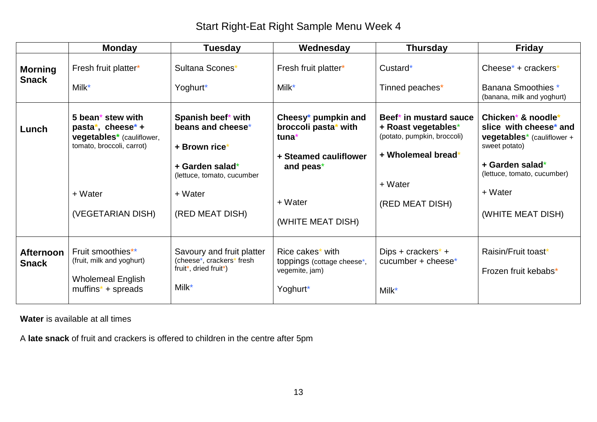|                                  | <b>Monday</b>                                                                                                                                | <b>Tuesday</b>                                                                                                                          | Wednesday                                                                                                                  | Thursday                                                                                                                         | <b>Friday</b>                                                                                                                                                                                    |
|----------------------------------|----------------------------------------------------------------------------------------------------------------------------------------------|-----------------------------------------------------------------------------------------------------------------------------------------|----------------------------------------------------------------------------------------------------------------------------|----------------------------------------------------------------------------------------------------------------------------------|--------------------------------------------------------------------------------------------------------------------------------------------------------------------------------------------------|
| <b>Morning</b><br><b>Snack</b>   | Fresh fruit platter*<br>Milk*                                                                                                                | Sultana Scones*<br>Yoghurt*                                                                                                             | Fresh fruit platter*<br>Milk*                                                                                              | Custard*<br>Tinned peaches*                                                                                                      | Cheese* + $crackers*$<br>Banana Smoothies *<br>(banana, milk and yoghurt)                                                                                                                        |
| Lunch                            | 5 bean <sup>*</sup> stew with<br>pasta*, cheese* +<br>vegetables* (cauliflower,<br>tomato, broccoli, carrot)<br>+ Water<br>(VEGETARIAN DISH) | Spanish beef* with<br>beans and cheese*<br>+ Brown rice'<br>+ Garden salad*<br>(lettuce, tomato, cucumber<br>+ Water<br>(RED MEAT DISH) | Cheesy* pumpkin and<br>broccoli pasta* with<br>tuna*<br>+ Steamed cauliflower<br>and peas*<br>+ Water<br>(WHITE MEAT DISH) | Beef* in mustard sauce<br>+ Roast vegetables*<br>(potato, pumpkin, broccoli)<br>+ Wholemeal bread*<br>+ Water<br>(RED MEAT DISH) | Chicken* & noodle*<br>slice with cheese* and<br><b>vegetables</b> <sup>*</sup> (cauliflower +<br>sweet potato)<br>+ Garden salad*<br>(lettuce, tomato, cucumber)<br>+ Water<br>(WHITE MEAT DISH) |
| <b>Afternoon</b><br><b>Snack</b> | Fruit smoothies**<br>(fruit, milk and yoghurt)<br><b>Wholemeal English</b><br>$muffins* + spreads$                                           | Savoury and fruit platter<br>(cheese*, crackers* fresh<br>fruit*, dried fruit*)<br>Milk*                                                | Rice cakes* with<br>toppings (cottage cheese*,<br>vegemite, jam)<br>Yoghurt*                                               | Dips + crackers <sup>*</sup> +<br>cucumber + cheese*<br>Milk*                                                                    | Raisin/Fruit toast*<br>Frozen fruit kebabs*                                                                                                                                                      |

**Water** is available at all times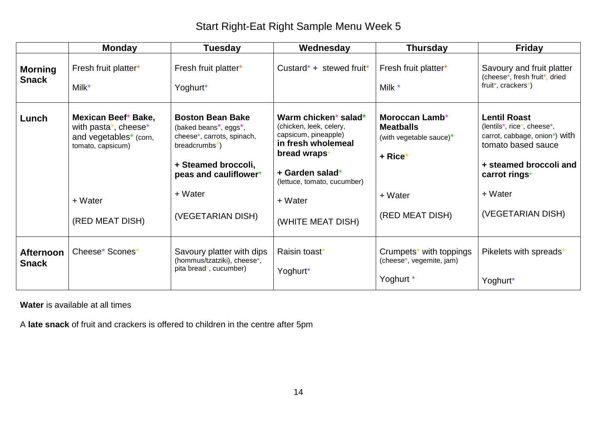|                                  | <b>Monday</b>                                                                                         | <b>Tuesday</b>                                                                                                                                                                           | Wednesday                                                                                                                                                                  | <b>Thursday</b>                                                                       | <b>Friday</b>                                                                                                                                                  |
|----------------------------------|-------------------------------------------------------------------------------------------------------|------------------------------------------------------------------------------------------------------------------------------------------------------------------------------------------|----------------------------------------------------------------------------------------------------------------------------------------------------------------------------|---------------------------------------------------------------------------------------|----------------------------------------------------------------------------------------------------------------------------------------------------------------|
| <b>Morning</b><br><b>Snack</b>   | Fresh fruit platter*<br>Milk*                                                                         | Fresh fruit platter*<br>Yoghurt*                                                                                                                                                         | Custard* + stewed fruit*                                                                                                                                                   | Fresh fruit platter*<br>Milk *                                                        | Savoury and fruit platter<br>(cheese*, fresh fruit*, dried<br>fruit*, crackers*)                                                                               |
| Lunch                            | Mexican Beef* Bake,<br>with pasta*, cheese*<br>and vegetables* (corn,<br>tomato, capsicum)<br>+ Water | <b>Boston Bean Bake</b><br>(baked beans <sup>*</sup> , eggs <sup>*</sup> ,<br>cheese*, carrots, spinach,<br>$breadcrumbs^*$ )<br>+ Steamed broccoli,<br>peas and cauliflower*<br>+ Water | Warm chicken* salad*<br>(chicken, leek, celery,<br>capsicum, pineapple)<br>in fresh wholemeal<br>bread wraps*<br>+ Garden salad*<br>(lettuce, tomato, cucumber)<br>+ Water | Moroccan Lamb*<br><b>Meatballs</b><br>(with vegetable sauce)*<br>$+$ Rice*<br>+ Water | <b>Lentil Roast</b><br>(lentils*, rice*, cheese*,<br>carrot, cabbage, onion*) with<br>tomato based sauce<br>+ steamed broccoli and<br>carrot rings*<br>+ Water |
|                                  | (RED MEAT DISH)                                                                                       | (VEGETARIAN DISH)                                                                                                                                                                        | (WHITE MEAT DISH)                                                                                                                                                          | (RED MEAT DISH)                                                                       | (VEGETARIAN DISH)                                                                                                                                              |
| <b>Afternoon</b><br><b>Snack</b> | Cheese* Scones*                                                                                       | Savoury platter with dips<br>(hommus/tzatziki), cheese*,<br>pita bread*, cucumber)                                                                                                       | Raisin toast*<br>Yoghurt*                                                                                                                                                  | Crumpets* with toppings<br>(cheese*, vegemite, jam)<br>Yoghurt *                      | Pikelets with spreads*<br>Yoghurt*                                                                                                                             |

**Water** is available at all times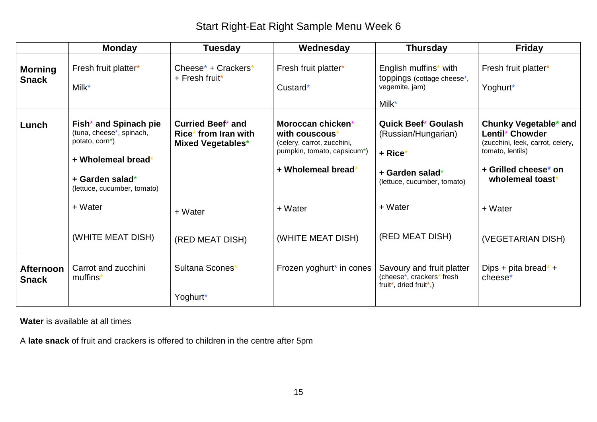|                                  | <b>Monday</b>                                                                                                                               | <b>Tuesday</b>                                                        | Wednesday                                                                                                                          | <b>Thursday</b>                                                                                                | <b>Friday</b>                                                                                                                                |
|----------------------------------|---------------------------------------------------------------------------------------------------------------------------------------------|-----------------------------------------------------------------------|------------------------------------------------------------------------------------------------------------------------------------|----------------------------------------------------------------------------------------------------------------|----------------------------------------------------------------------------------------------------------------------------------------------|
| <b>Morning</b><br><b>Snack</b>   | Fresh fruit platter*<br>Milk*                                                                                                               | Cheese* + Crackers*<br>$+$ Fresh fruit*                               | Fresh fruit platter*<br>Custard*                                                                                                   | English muffins* with<br>toppings (cottage cheese*,<br>vegemite, jam)<br>$M$ ilk $*$                           | Fresh fruit platter*<br>Yoghurt*                                                                                                             |
| Lunch                            | Fish* and Spinach pie<br>(tuna, cheese*, spinach,<br>potato, corn*)<br>+ Wholemeal bread*<br>+ Garden salad*<br>(lettuce, cucumber, tomato) | Curried Beef* and<br>Rice* from Iran with<br><b>Mixed Vegetables*</b> | Moroccan chicken*<br>with couscous <sup>*</sup><br>(celery, carrot, zucchini,<br>pumpkin, tomato, capsicum*)<br>+ Wholemeal bread* | <b>Quick Beef* Goulash</b><br>(Russian/Hungarian)<br>+ Rice*<br>+ Garden salad*<br>(lettuce, cucumber, tomato) | Chunky Vegetable* and<br>Lentil* Chowder<br>(zucchini, leek, carrot, celery,<br>tomato, lentils)<br>+ Grilled cheese* on<br>wholemeal toast* |
|                                  | + Water                                                                                                                                     | + Water                                                               | + Water                                                                                                                            | + Water                                                                                                        | + Water                                                                                                                                      |
|                                  | (WHITE MEAT DISH)                                                                                                                           | (RED MEAT DISH)                                                       | (WHITE MEAT DISH)                                                                                                                  | (RED MEAT DISH)                                                                                                | (VEGETARIAN DISH)                                                                                                                            |
| <b>Afternoon</b><br><b>Snack</b> | Carrot and zucchini<br>muffins <sup>*</sup>                                                                                                 | Sultana Scones*<br>Yoghurt*                                           | Frozen yoghurt* in cones                                                                                                           | Savoury and fruit platter<br>(cheese*, crackers* fresh<br>fruit*, dried fruit*,)                               | Dips + pita bread* +<br>cheese <sup>*</sup>                                                                                                  |

**Water** is available at all times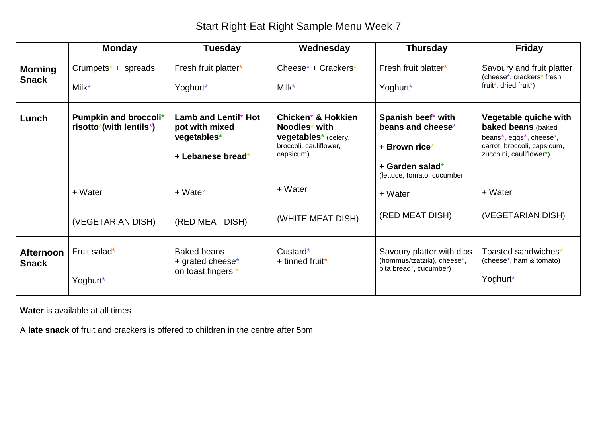|                                  | <b>Monday</b>                                                              | <b>Tuesday</b>                                                             | Wednesday                                                                                                             | <b>Thursday</b>                                                                                           | <b>Friday</b>                                                                                                                                                                  |
|----------------------------------|----------------------------------------------------------------------------|----------------------------------------------------------------------------|-----------------------------------------------------------------------------------------------------------------------|-----------------------------------------------------------------------------------------------------------|--------------------------------------------------------------------------------------------------------------------------------------------------------------------------------|
| <b>Morning</b><br><b>Snack</b>   | Crumpets <sup><math>*</math></sup> + spreads<br>Milk*                      | Fresh fruit platter*<br>Yoghurt*                                           | Cheese* + Crackers*<br>$Milk^*$                                                                                       | Fresh fruit platter*<br>Yoghurt*                                                                          | Savoury and fruit platter<br>(cheese*, crackers* fresh<br>fruit*, dried fruit*)                                                                                                |
| Lunch                            | Pumpkin and broccoli*<br>risotto <sup>*</sup> (with lentils <sup>*</sup> ) | Lamb and Lentil* Hot<br>pot with mixed<br>vegetables*<br>+ Lebanese bread* | Chicken* & Hokkien<br>Noodles* with<br><b>vegetables</b> <sup>*</sup> (celery,<br>broccoli, cauliflower,<br>capsicum) | Spanish beef* with<br>beans and cheese*<br>+ Brown rice*<br>+ Garden salad*<br>(lettuce, tomato, cucumber | Vegetable quiche with<br><b>baked beans (baked</b><br>beans <sup>*</sup> , eggs <sup>*</sup> , cheese <sup>*</sup> ,<br>carrot, broccoli, capsicum,<br>zucchini, cauliflower*) |
|                                  | + Water                                                                    | + Water                                                                    | + Water                                                                                                               | + Water                                                                                                   | + Water                                                                                                                                                                        |
|                                  | (VEGETARIAN DISH)                                                          | (RED MEAT DISH)                                                            | (WHITE MEAT DISH)                                                                                                     | (RED MEAT DISH)                                                                                           | (VEGETARIAN DISH)                                                                                                                                                              |
| <b>Afternoon</b><br><b>Snack</b> | Fruit salad*<br>Yoghurt*                                                   | <b>Baked beans</b><br>+ grated cheese*<br>on toast fingers                 | Custard*<br>+ tinned fruit*                                                                                           | Savoury platter with dips<br>(hommus/tzatziki), cheese*,<br>pita bread*, cucumber)                        | Toasted sandwiches*<br>(cheese <sup>*</sup> , ham & tomato)<br>Yoghurt*                                                                                                        |

**Water** is available at all times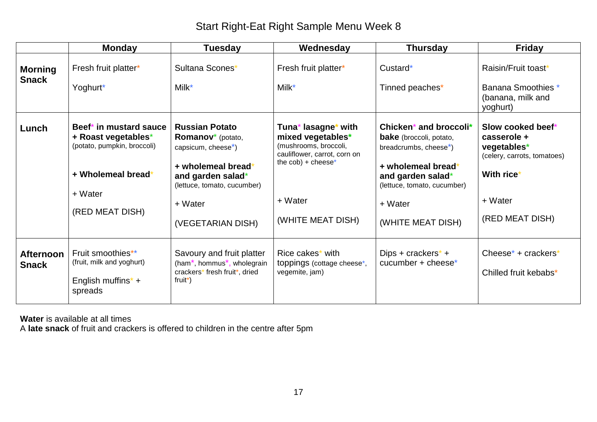|                                  | <b>Monday</b>                                                                                                                    | <b>Tuesday</b>                                                                                                                                                                                             | Wednesday                                                                                                                                                  | <b>Thursday</b>                                                                                                                                                                                          | <b>Friday</b>                                                                                                              |
|----------------------------------|----------------------------------------------------------------------------------------------------------------------------------|------------------------------------------------------------------------------------------------------------------------------------------------------------------------------------------------------------|------------------------------------------------------------------------------------------------------------------------------------------------------------|----------------------------------------------------------------------------------------------------------------------------------------------------------------------------------------------------------|----------------------------------------------------------------------------------------------------------------------------|
| <b>Morning</b><br><b>Snack</b>   | Fresh fruit platter*<br>Yoghurt*                                                                                                 | Sultana Scones*<br>Milk*                                                                                                                                                                                   | Fresh fruit platter*<br>Milk*                                                                                                                              | Custard*<br>Tinned peaches*                                                                                                                                                                              | Raisin/Fruit toast*<br>Banana Smoothies *<br>(banana, milk and<br>yoghurt)                                                 |
| Lunch                            | Beef* in mustard sauce<br>+ Roast vegetables*<br>(potato, pumpkin, broccoli)<br>+ Wholemeal bread*<br>+ Water<br>(RED MEAT DISH) | <b>Russian Potato</b><br><b>Romanov</b> <sup>*</sup> (potato,<br>capsicum, cheese <sup>*</sup> )<br>+ wholemeal bread*<br>and garden salad*<br>(lettuce, tomato, cucumber)<br>+ Water<br>(VEGETARIAN DISH) | Tuna* lasagne* with<br>mixed vegetables*<br>(mushrooms, broccoli,<br>cauliflower, carrot, corn on<br>the $\cosh$ + cheese*<br>+ Water<br>(WHITE MEAT DISH) | Chicken* and broccoli*<br><b>bake</b> (broccoli, potato,<br>breadcrumbs, cheese <sup>*</sup> )<br>+ wholemeal bread*<br>and garden salad*<br>(lettuce, tomato, cucumber)<br>+ Water<br>(WHITE MEAT DISH) | Slow cooked beef*<br>casserole +<br>vegetables*<br>(celery, carrots, tomatoes)<br>With rice*<br>+ Water<br>(RED MEAT DISH) |
| <b>Afternoon</b><br><b>Snack</b> | Fruit smoothies**<br>(fruit, milk and yoghurt)<br>English muffins <sup><math>*</math></sup> +<br>spreads                         | Savoury and fruit platter<br>(ham <sup>*</sup> , hommus <sup>*</sup> , wholegrain<br>crackers* fresh fruit*, dried<br>fruit*)                                                                              | Rice cakes* with<br>toppings (cottage cheese*,<br>vegemite, jam)                                                                                           | Dips + crackers <sup>*</sup> +<br>cucumber + cheese*                                                                                                                                                     | Cheese* + $crackers*$<br>Chilled fruit kebabs*                                                                             |

**Water** is available at all times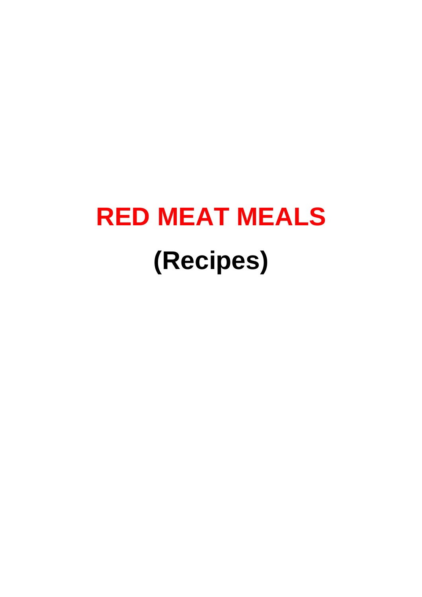## **RED MEAT MEALS (Recipes)**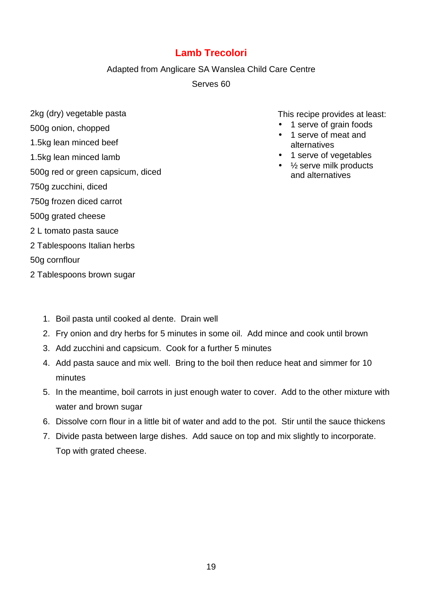#### **Lamb Trecolori**

#### Adapted from Anglicare SA Wanslea Child Care Centre

Serves 60

2kg (dry) vegetable pasta

#### 500g onion, chopped

- 1.5kg lean minced beef
- 1.5kg lean minced lamb

#### 500g red or green capsicum, diced

- 750g zucchini, diced
- 750g frozen diced carrot
- 500g grated cheese
- 2 L tomato pasta sauce
- 2 Tablespoons Italian herbs
- 50g cornflour
- 2 Tablespoons brown sugar
	- 1. Boil pasta until cooked al dente. Drain well
	- 2. Fry onion and dry herbs for 5 minutes in some oil. Add mince and cook until brown
	- 3. Add zucchini and capsicum. Cook for a further 5 minutes
	- 4. Add pasta sauce and mix well. Bring to the boil then reduce heat and simmer for 10 minutes
	- 5. In the meantime, boil carrots in just enough water to cover. Add to the other mixture with water and brown sugar
	- 6. Dissolve corn flour in a little bit of water and add to the pot. Stir until the sauce thickens
	- 7. Divide pasta between large dishes. Add sauce on top and mix slightly to incorporate. Top with grated cheese.

- 1 serve of grain foods
- 1 serve of meat and alternatives
- 1 serve of vegetables
- $\bullet$  % serve milk products and alternatives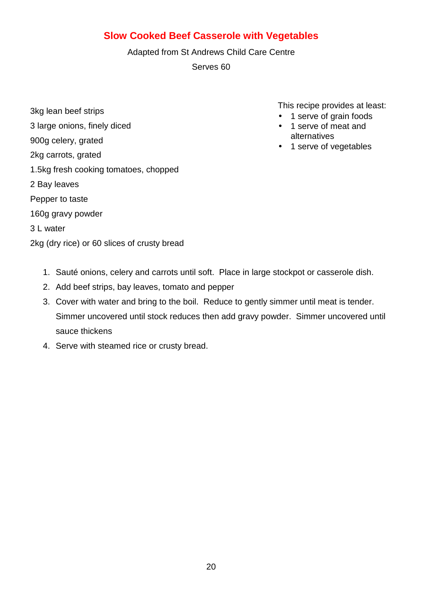#### **Slow Cooked Beef Casserole with Vegetables**

Adapted from St Andrews Child Care Centre

Serves 60

3kg lean beef strips 3 large onions, finely diced 900g celery, grated 2kg carrots, grated 1.5kg fresh cooking tomatoes, chopped 2 Bay leaves Pepper to taste 160g gravy powder 3 L water

2kg (dry rice) or 60 slices of crusty bread

- 1 serve of grain foods
- 1 serve of meat and alternatives
- 1 serve of vegetables

- 1. Sauté onions, celery and carrots until soft. Place in large stockpot or casserole dish.
- 2. Add beef strips, bay leaves, tomato and pepper
- 3. Cover with water and bring to the boil. Reduce to gently simmer until meat is tender. Simmer uncovered until stock reduces then add gravy powder. Simmer uncovered until sauce thickens
- 4. Serve with steamed rice or crusty bread.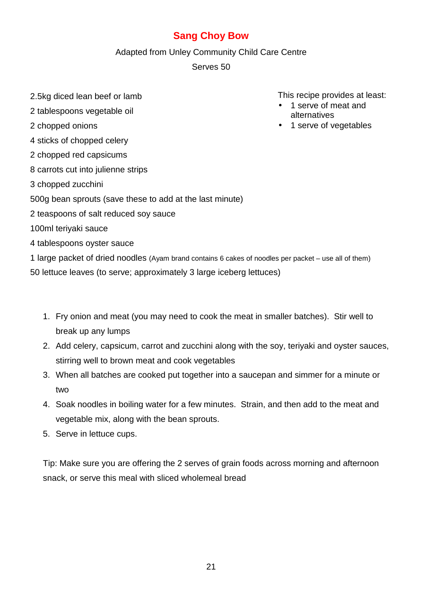#### **Sang Choy Bow**

Adapted from Unley Community Child Care Centre

Serves 50

- 2.5kg diced lean beef or lamb
- 2 tablespoons vegetable oil
- 2 chopped onions
- 4 sticks of chopped celery
- 2 chopped red capsicums
- 8 carrots cut into julienne strips
- 3 chopped zucchini
- 500g bean sprouts (save these to add at the last minute)
- 2 teaspoons of salt reduced soy sauce
- 100ml teriyaki sauce
- 4 tablespoons oyster sauce
- 1 large packet of dried noodles (Ayam brand contains 6 cakes of noodles per packet use all of them)

50 lettuce leaves (to serve; approximately 3 large iceberg lettuces)

- 1. Fry onion and meat (you may need to cook the meat in smaller batches). Stir well to break up any lumps
- 2. Add celery, capsicum, carrot and zucchini along with the soy, teriyaki and oyster sauces, stirring well to brown meat and cook vegetables
- 3. When all batches are cooked put together into a saucepan and simmer for a minute or two
- 4. Soak noodles in boiling water for a few minutes. Strain, and then add to the meat and vegetable mix, along with the bean sprouts.
- 5. Serve in lettuce cups.

Tip: Make sure you are offering the 2 serves of grain foods across morning and afternoon snack, or serve this meal with sliced wholemeal bread

- 1 serve of meat and alternatives
- 1 serve of vegetables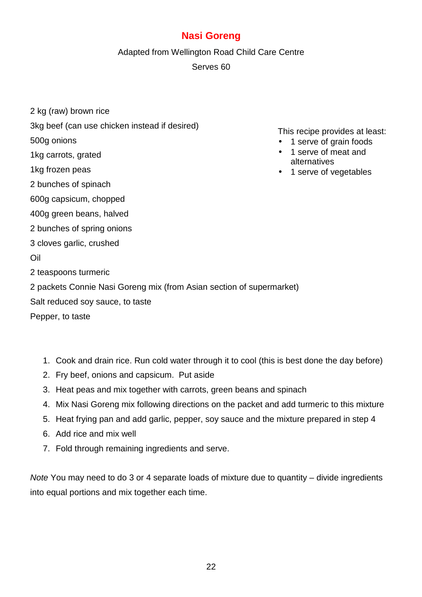#### **Nasi Goreng**

Adapted from Wellington Road Child Care Centre

Serves 60

- 2 kg (raw) brown rice
- 3kg beef (can use chicken instead if desired)
- 500g onions
- 1kg carrots, grated
- 1kg frozen peas
- 2 bunches of spinach
- 600g capsicum, chopped
- 400g green beans, halved
- 2 bunches of spring onions
- 3 cloves garlic, crushed
- Oil
- 2 teaspoons turmeric

2 packets Connie Nasi Goreng mix (from Asian section of supermarket)

Salt reduced soy sauce, to taste

Pepper, to taste

- 1. Cook and drain rice. Run cold water through it to cool (this is best done the day before)
- 2. Fry beef, onions and capsicum. Put aside
- 3. Heat peas and mix together with carrots, green beans and spinach
- 4. Mix Nasi Goreng mix following directions on the packet and add turmeric to this mixture
- 5. Heat frying pan and add garlic, pepper, soy sauce and the mixture prepared in step 4
- 6. Add rice and mix well
- 7. Fold through remaining ingredients and serve.

Note You may need to do 3 or 4 separate loads of mixture due to quantity – divide ingredients into equal portions and mix together each time.

- 1 serve of grain foods
- 1 serve of meat and alternatives
- 1 serve of vegetables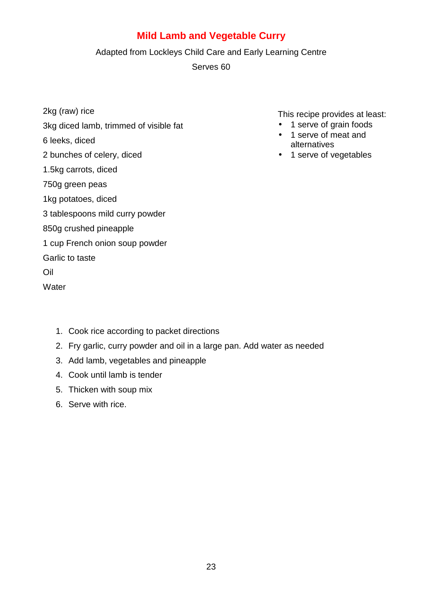#### **Mild Lamb and Vegetable Curry**

#### Adapted from Lockleys Child Care and Early Learning Centre

Serves 60

2kg (raw) rice

#### 3kg diced lamb, trimmed of visible fat

6 leeks, diced

2 bunches of celery, diced

1.5kg carrots, diced

750g green peas

1kg potatoes, diced

3 tablespoons mild curry powder

850g crushed pineapple

1 cup French onion soup powder

Garlic to taste

Oil

**Water** 

1. Cook rice according to packet directions

2. Fry garlic, curry powder and oil in a large pan. Add water as needed

- 3. Add lamb, vegetables and pineapple
- 4. Cook until lamb is tender
- 5. Thicken with soup mix
- 6. Serve with rice.

- 1 serve of grain foods
- 1 serve of meat and alternatives
- 1 serve of vegetables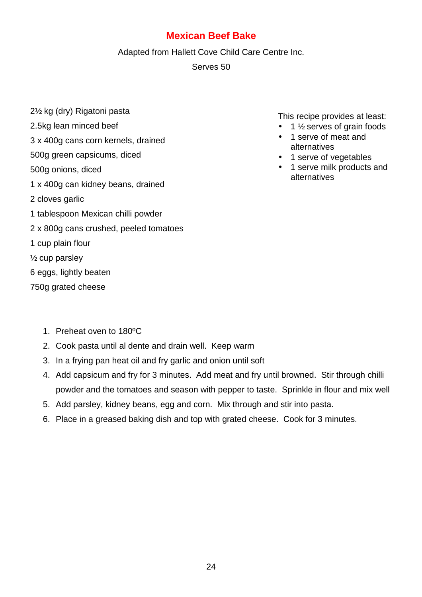#### **Mexican Beef Bake**

Adapted from Hallett Cove Child Care Centre Inc.

Serves 50

- 2½ kg (dry) Rigatoni pasta
- 2.5kg lean minced beef
- 3 x 400g cans corn kernels, drained
- 500g green capsicums, diced
- 500g onions, diced
- 1 x 400g can kidney beans, drained
- 2 cloves garlic
- 1 tablespoon Mexican chilli powder
- 2 x 800g cans crushed, peeled tomatoes
- 1 cup plain flour
- ½ cup parsley
- 6 eggs, lightly beaten
- 750g grated cheese
	- 1. Preheat oven to 180ºC
	- 2. Cook pasta until al dente and drain well. Keep warm
	- 3. In a frying pan heat oil and fry garlic and onion until soft
	- 4. Add capsicum and fry for 3 minutes. Add meat and fry until browned. Stir through chilli powder and the tomatoes and season with pepper to taste. Sprinkle in flour and mix well
	- 5. Add parsley, kidney beans, egg and corn. Mix through and stir into pasta.
	- 6. Place in a greased baking dish and top with grated cheese. Cook for 3 minutes.

- $\bullet$  1  $\frac{1}{2}$  serves of grain foods
- 1 serve of meat and alternatives
- 1 serve of vegetables
- 1 serve milk products and alternatives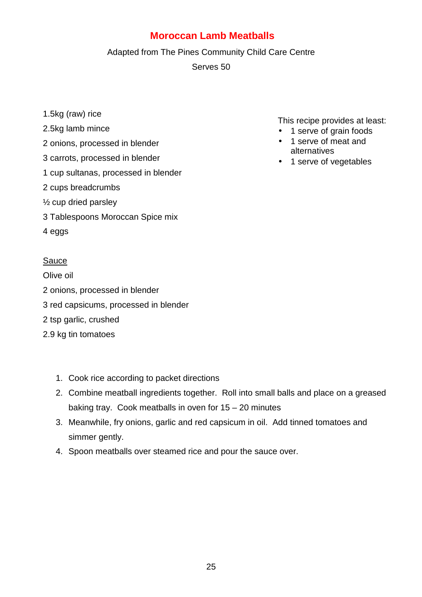#### **Moroccan Lamb Meatballs**

#### Adapted from The Pines Community Child Care Centre

Serves 50

- 1.5kg (raw) rice
- 2.5kg lamb mince
- 2 onions, processed in blender
- 3 carrots, processed in blender
- 1 cup sultanas, processed in blender
- 2 cups breadcrumbs
- ½ cup dried parsley
- 3 Tablespoons Moroccan Spice mix
- 4 eggs

#### Sauce

Olive oil 2 onions, processed in blender 3 red capsicums, processed in blender 2 tsp garlic, crushed 2.9 kg tin tomatoes

- 1. Cook rice according to packet directions
- 2. Combine meatball ingredients together. Roll into small balls and place on a greased baking tray. Cook meatballs in oven for 15 – 20 minutes
- 3. Meanwhile, fry onions, garlic and red capsicum in oil. Add tinned tomatoes and simmer gently.
- 4. Spoon meatballs over steamed rice and pour the sauce over.

- 1 serve of grain foods
- 1 serve of meat and alternatives
- 1 serve of vegetables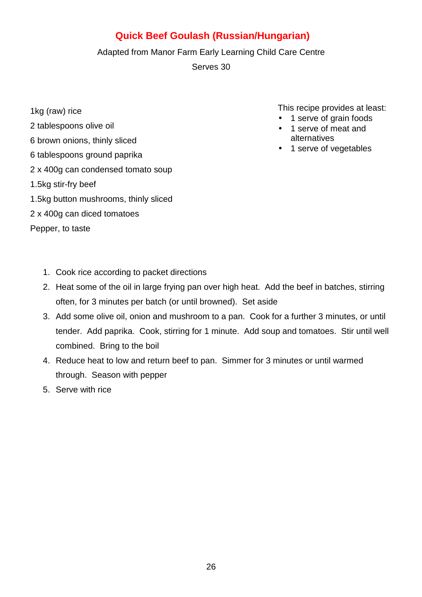#### **Quick Beef Goulash (Russian/Hungarian)**

#### Adapted from Manor Farm Early Learning Child Care Centre

Serves 30

- 1kg (raw) rice
- 2 tablespoons olive oil
- 6 brown onions, thinly sliced
- 6 tablespoons ground paprika
- 2 x 400g can condensed tomato soup
- 1.5kg stir-fry beef
- 1.5kg button mushrooms, thinly sliced
- 2 x 400g can diced tomatoes

Pepper, to taste

- 1 serve of grain foods
- 1 serve of meat and alternatives
- 1 serve of vegetables

- 1. Cook rice according to packet directions
- 2. Heat some of the oil in large frying pan over high heat. Add the beef in batches, stirring often, for 3 minutes per batch (or until browned). Set aside
- 3. Add some olive oil, onion and mushroom to a pan. Cook for a further 3 minutes, or until tender. Add paprika. Cook, stirring for 1 minute. Add soup and tomatoes. Stir until well combined. Bring to the boil
- 4. Reduce heat to low and return beef to pan. Simmer for 3 minutes or until warmed through. Season with pepper
- 5. Serve with rice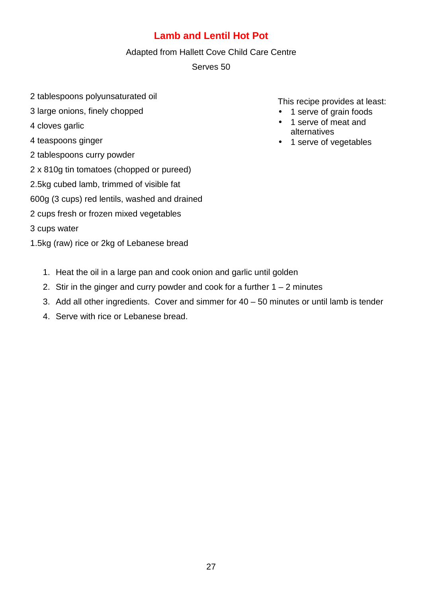#### **Lamb and Lentil Hot Pot**

#### Adapted from Hallett Cove Child Care Centre

Serves 50

- 2 tablespoons polyunsaturated oil
- 3 large onions, finely chopped
- 4 cloves garlic
- 4 teaspoons ginger
- 2 tablespoons curry powder
- 2 x 810g tin tomatoes (chopped or pureed)
- 2.5kg cubed lamb, trimmed of visible fat
- 600g (3 cups) red lentils, washed and drained
- 2 cups fresh or frozen mixed vegetables
- 3 cups water
- 1.5kg (raw) rice or 2kg of Lebanese bread
	- 1. Heat the oil in a large pan and cook onion and garlic until golden
	- 2. Stir in the ginger and curry powder and cook for a further  $1 2$  minutes
	- 3. Add all other ingredients. Cover and simmer for 40 50 minutes or until lamb is tender
	- 4. Serve with rice or Lebanese bread.

- 1 serve of grain foods
- 1 serve of meat and alternatives
- 1 serve of vegetables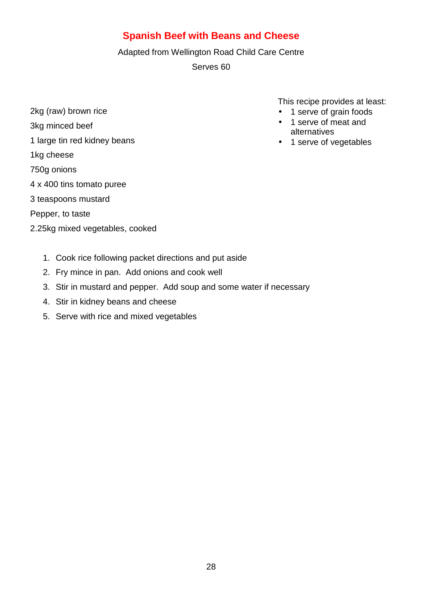#### **Spanish Beef with Beans and Cheese**

Adapted from Wellington Road Child Care Centre

Serves 60

- 2kg (raw) brown rice 3kg minced beef 1 large tin red kidney beans 1kg cheese 750g onions 4 x 400 tins tomato puree 3 teaspoons mustard Pepper, to taste
- 2.25kg mixed vegetables, cooked

- 1 serve of grain foods
- 1 serve of meat and alternatives
- 1 serve of vegetables

- 1. Cook rice following packet directions and put aside
- 2. Fry mince in pan. Add onions and cook well
- 3. Stir in mustard and pepper. Add soup and some water if necessary
- 4. Stir in kidney beans and cheese
- 5. Serve with rice and mixed vegetables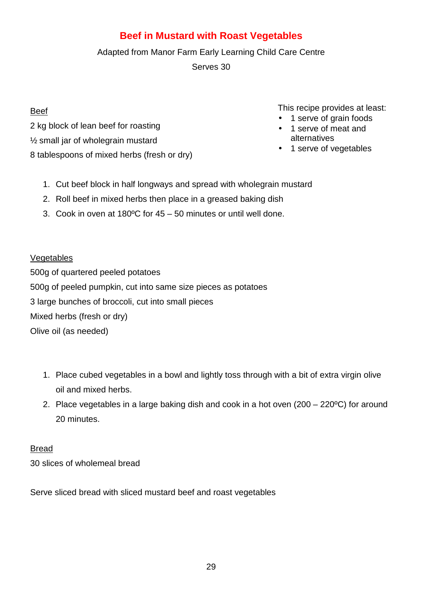#### **Beef in Mustard with Roast Vegetables**

#### Adapted from Manor Farm Early Learning Child Care Centre

Serves 30

#### Beef

2 kg block of lean beef for roasting

- ½ small jar of wholegrain mustard
- 8 tablespoons of mixed herbs (fresh or dry)
	- 1. Cut beef block in half longways and spread with wholegrain mustard
	- 2. Roll beef in mixed herbs then place in a greased baking dish
	- 3. Cook in oven at 180ºC for 45 50 minutes or until well done.

#### Vegetables

500g of quartered peeled potatoes 500g of peeled pumpkin, cut into same size pieces as potatoes 3 large bunches of broccoli, cut into small pieces Mixed herbs (fresh or dry) Olive oil (as needed)

- 1. Place cubed vegetables in a bowl and lightly toss through with a bit of extra virgin olive oil and mixed herbs.
- 2. Place vegetables in a large baking dish and cook in a hot oven (200 220ºC) for around 20 minutes.

#### Bread

30 slices of wholemeal bread

Serve sliced bread with sliced mustard beef and roast vegetables

- 1 serve of grain foods
- 1 serve of meat and alternatives
- 1 serve of vegetables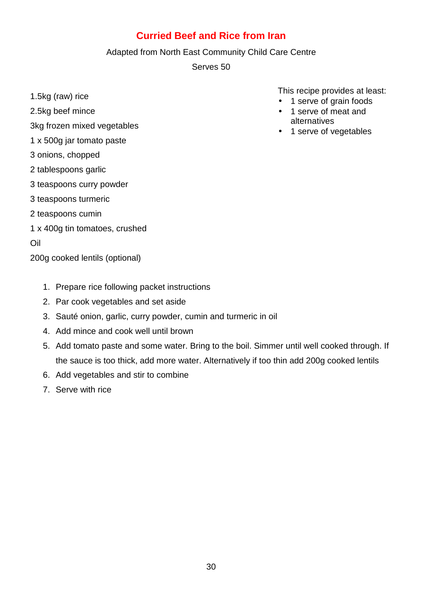#### **Curried Beef and Rice from Iran**

#### Adapted from North East Community Child Care Centre

Serves 50

1.5kg (raw) rice

2.5kg beef mince

- 3kg frozen mixed vegetables
- 1 x 500g jar tomato paste
- 3 onions, chopped
- 2 tablespoons garlic
- 3 teaspoons curry powder
- 3 teaspoons turmeric
- 2 teaspoons cumin
- 1 x 400g tin tomatoes, crushed

#### Oil

200g cooked lentils (optional)

- 1. Prepare rice following packet instructions
- 2. Par cook vegetables and set aside
- 3. Sauté onion, garlic, curry powder, cumin and turmeric in oil
- 4. Add mince and cook well until brown
- 5. Add tomato paste and some water. Bring to the boil. Simmer until well cooked through. If the sauce is too thick, add more water. Alternatively if too thin add 200g cooked lentils
- 6. Add vegetables and stir to combine
- 7. Serve with rice

- 1 serve of grain foods
- 1 serve of meat and alternatives
- 1 serve of vegetables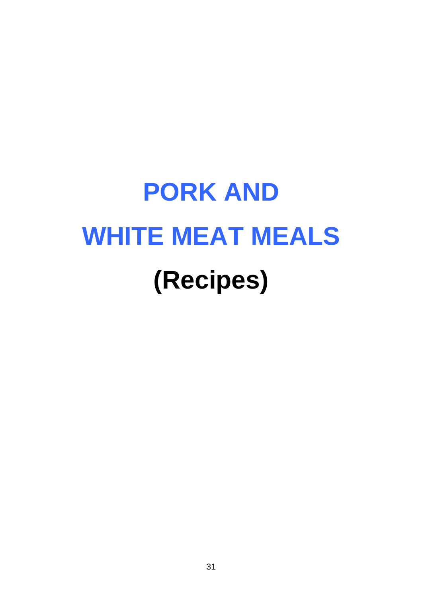# **PORK AND WHITE MEAT MEALS (Recipes)**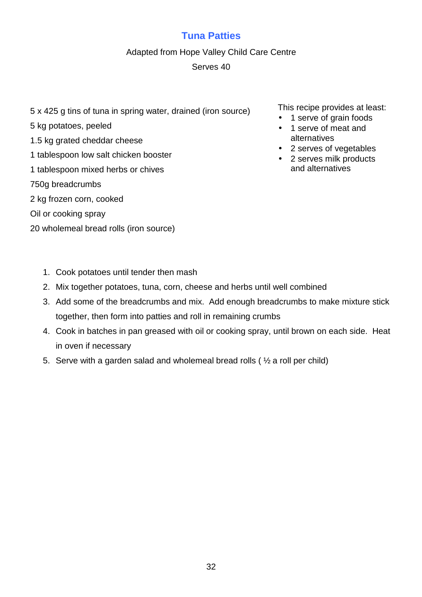#### **Tuna Patties**

#### Adapted from Hope Valley Child Care Centre

#### Serves 40

5 x 425 g tins of tuna in spring water, drained (iron source)

#### 5 kg potatoes, peeled

- 1.5 kg grated cheddar cheese
- 1 tablespoon low salt chicken booster
- 1 tablespoon mixed herbs or chives
- 750g breadcrumbs
- 2 kg frozen corn, cooked
- Oil or cooking spray
- 20 wholemeal bread rolls (iron source)

- 1 serve of grain foods
- 1 serve of meat and alternatives
- 2 serves of vegetables
- 2 serves milk products and alternatives

- 1. Cook potatoes until tender then mash
- 2. Mix together potatoes, tuna, corn, cheese and herbs until well combined
- 3. Add some of the breadcrumbs and mix. Add enough breadcrumbs to make mixture stick together, then form into patties and roll in remaining crumbs
- 4. Cook in batches in pan greased with oil or cooking spray, until brown on each side. Heat in oven if necessary
- 5. Serve with a garden salad and wholemeal bread rolls ( ½ a roll per child)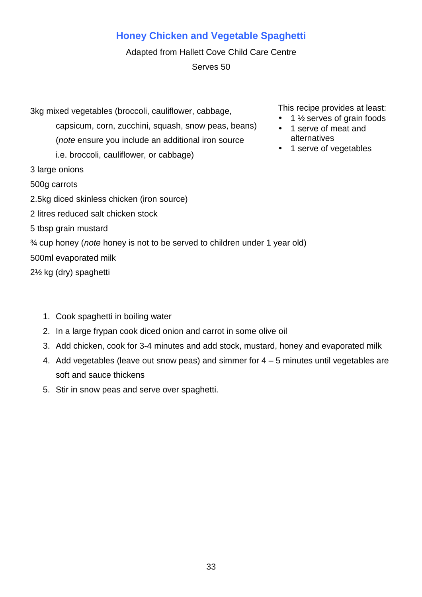#### **Honey Chicken and Vegetable Spaghetti**

Adapted from Hallett Cove Child Care Centre Serves 50

3kg mixed vegetables (broccoli, cauliflower, cabbage, capsicum, corn, zucchini, squash, snow peas, beans) (note ensure you include an additional iron source i.e. broccoli, cauliflower, or cabbage) 3 large onions 500g carrots 2.5kg diced skinless chicken (iron source) 2 litres reduced salt chicken stock 5 tbsp grain mustard ¾ cup honey (note honey is not to be served to children under 1 year old) 500ml evaporated milk 2½ kg (dry) spaghetti

- 1. Cook spaghetti in boiling water
- 2. In a large frypan cook diced onion and carrot in some olive oil
- 3. Add chicken, cook for 3-4 minutes and add stock, mustard, honey and evaporated milk
- 4. Add vegetables (leave out snow peas) and simmer for 4 5 minutes until vegetables are soft and sauce thickens
- 5. Stir in snow peas and serve over spaghetti.

- $\bullet$  1  $\frac{1}{2}$  serves of grain foods
- 1 serve of meat and alternatives
- 1 serve of vegetables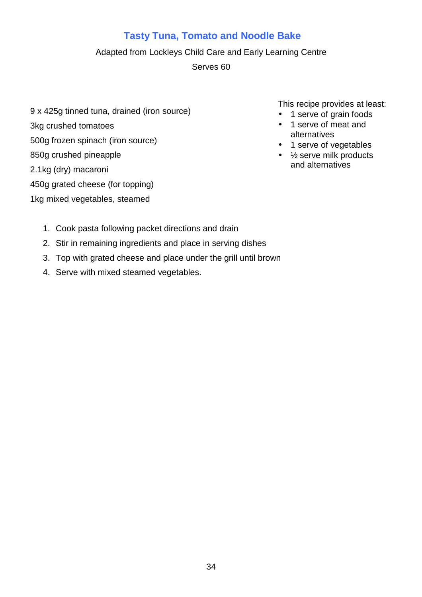#### **Tasty Tuna, Tomato and Noodle Bake**

#### Adapted from Lockleys Child Care and Early Learning Centre

Serves 60

- 9 x 425g tinned tuna, drained (iron source) 3kg crushed tomatoes 500g frozen spinach (iron source) 850g crushed pineapple 2.1kg (dry) macaroni
- 450g grated cheese (for topping)
- 1kg mixed vegetables, steamed

- 1 serve of grain foods
- 1 serve of meat and alternatives
- 1 serve of vegetables
- 1/<sub>2</sub> serve milk products and alternatives

- 1. Cook pasta following packet directions and drain
- 2. Stir in remaining ingredients and place in serving dishes
- 3. Top with grated cheese and place under the grill until brown
- 4. Serve with mixed steamed vegetables.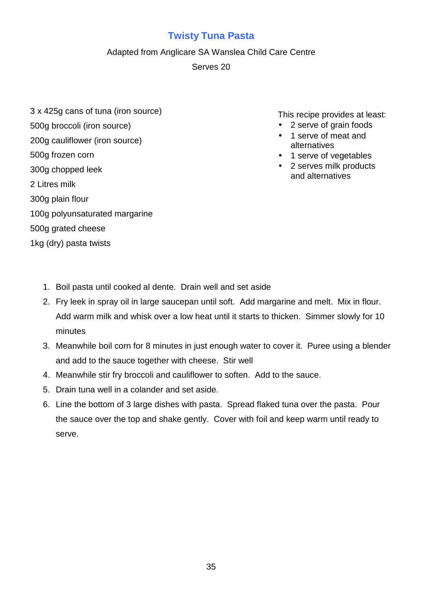#### **Twisty Tuna Pasta**

Adapted from Anglicare SA Wanslea Child Care Centre

Serves 20

3 x 425g cans of tuna (iron source) 500g broccoli (iron source)

200g cauliflower (iron source)

500g frozen corn

300g chopped leek

2 Litres milk

- 300g plain flour
- 100g polyunsaturated margarine
- 500g grated cheese

1kg (dry) pasta twists

- 2 serve of grain foods
- 1 serve of meat and alternatives
- 1 serve of vegetables
- 2 serves milk products and alternatives

- 1. Boil pasta until cooked al dente. Drain well and set aside
- 2. Fry leek in spray oil in large saucepan until soft. Add margarine and melt. Mix in flour. Add warm milk and whisk over a low heat until it starts to thicken. Simmer slowly for 10 minutes
- 3. Meanwhile boil corn for 8 minutes in just enough water to cover it. Puree using a blender and add to the sauce together with cheese. Stir well
- 4. Meanwhile stir fry broccoli and cauliflower to soften. Add to the sauce.
- 5. Drain tuna well in a colander and set aside.
- 6. Line the bottom of 3 large dishes with pasta. Spread flaked tuna over the pasta. Pour the sauce over the top and shake gently. Cover with foil and keep warm until ready to serve.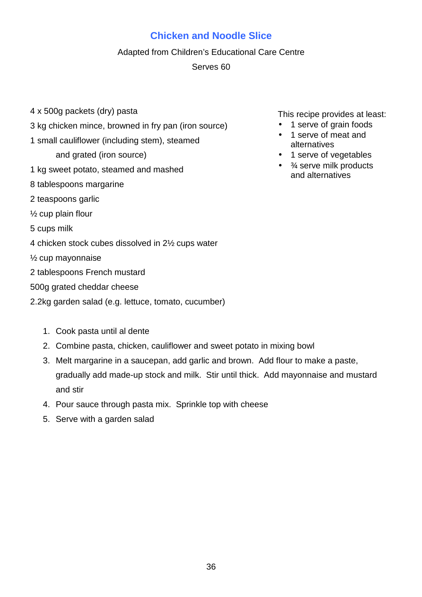#### **Chicken and Noodle Slice**

#### Adapted from Children's Educational Care Centre

#### Serves 60

- 4 x 500g packets (dry) pasta
- 3 kg chicken mince, browned in fry pan (iron source)
- 1 small cauliflower (including stem), steamed
	- and grated (iron source)
- 1 kg sweet potato, steamed and mashed
- 8 tablespoons margarine
- 2 teaspoons garlic
- ½ cup plain flour
- 5 cups milk
- 4 chicken stock cubes dissolved in 2½ cups water
- ½ cup mayonnaise
- 2 tablespoons French mustard
- 500g grated cheddar cheese
- 2.2kg garden salad (e.g. lettuce, tomato, cucumber)
	- 1. Cook pasta until al dente
	- 2. Combine pasta, chicken, cauliflower and sweet potato in mixing bowl
	- 3. Melt margarine in a saucepan, add garlic and brown. Add flour to make a paste, gradually add made-up stock and milk. Stir until thick. Add mayonnaise and mustard and stir
	- 4. Pour sauce through pasta mix. Sprinkle top with cheese
	- 5. Serve with a garden salad

- 1 serve of grain foods
- 1 serve of meat and alternatives
- 1 serve of vegetables
- $\bullet$   $\frac{3}{4}$  serve milk products and alternatives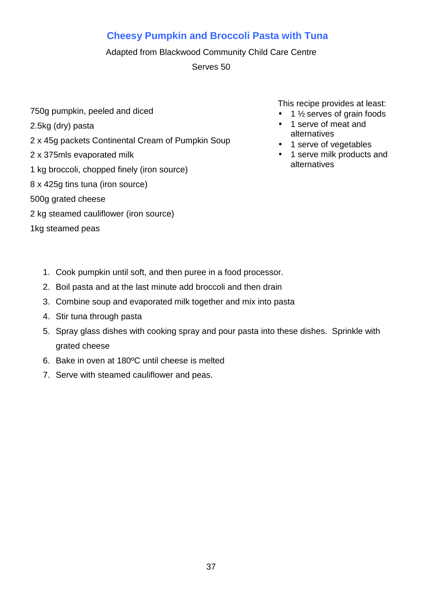# **Cheesy Pumpkin and Broccoli Pasta with Tuna**

Adapted from Blackwood Community Child Care Centre

Serves 50

- 750g pumpkin, peeled and diced
- 2.5kg (dry) pasta
- 2 x 45g packets Continental Cream of Pumpkin Soup
- 2 x 375mls evaporated milk
- 1 kg broccoli, chopped finely (iron source)
- 8 x 425g tins tuna (iron source)
- 500g grated cheese
- 2 kg steamed cauliflower (iron source)
- 1kg steamed peas

- $\bullet$  1  $\frac{1}{2}$  serves of grain foods
- 1 serve of meat and alternatives
- 1 serve of vegetables
- 1 serve milk products and alternatives

- 1. Cook pumpkin until soft, and then puree in a food processor.
- 2. Boil pasta and at the last minute add broccoli and then drain
- 3. Combine soup and evaporated milk together and mix into pasta
- 4. Stir tuna through pasta
- 5. Spray glass dishes with cooking spray and pour pasta into these dishes. Sprinkle with grated cheese
- 6. Bake in oven at 180ºC until cheese is melted
- 7. Serve with steamed cauliflower and peas.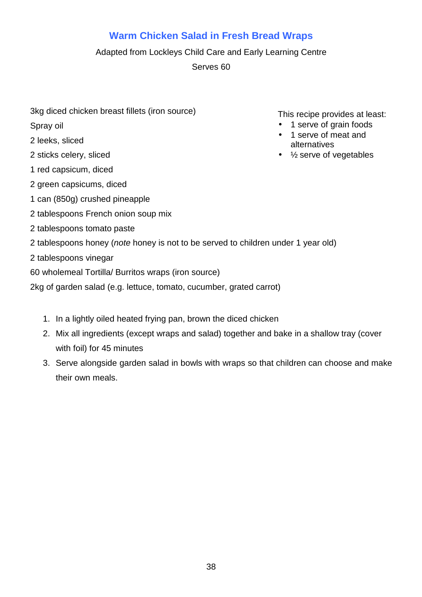# **Warm Chicken Salad in Fresh Bread Wraps**

Adapted from Lockleys Child Care and Early Learning Centre

Serves 60

3kg diced chicken breast fillets (iron source)

Spray oil

- 2 leeks, sliced
- 2 sticks celery, sliced
- 1 red capsicum, diced
- 2 green capsicums, diced
- 1 can (850g) crushed pineapple
- 2 tablespoons French onion soup mix
- 2 tablespoons tomato paste
- 2 tablespoons honey (note honey is not to be served to children under 1 year old)
- 2 tablespoons vinegar
- 60 wholemeal Tortilla/ Burritos wraps (iron source)
- 2kg of garden salad (e.g. lettuce, tomato, cucumber, grated carrot)
	- 1. In a lightly oiled heated frying pan, brown the diced chicken
	- 2. Mix all ingredients (except wraps and salad) together and bake in a shallow tray (cover with foil) for 45 minutes
	- 3. Serve alongside garden salad in bowls with wraps so that children can choose and make their own meals.

- 1 serve of grain foods
- 1 serve of meat and alternatives
- $\bullet$  % serve of vegetables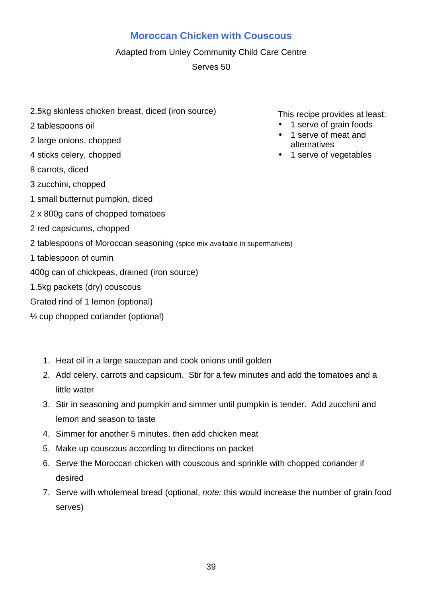## **Moroccan Chicken with Couscous**

#### Adapted from Unley Community Child Care Centre

Serves 50

- 2.5kg skinless chicken breast, diced (iron source)
- 2 tablespoons oil
- 2 large onions, chopped
- 4 sticks celery, chopped
- 8 carrots, diced
- 3 zucchini, chopped
- 1 small butternut pumpkin, diced
- 2 x 800g cans of chopped tomatoes
- 2 red capsicums, chopped
- 2 tablespoons of Moroccan seasoning (spice mix available in supermarkets)
- 1 tablespoon of cumin
- 400g can of chickpeas, drained (iron source)
- 1.5kg packets (dry) couscous
- Grated rind of 1 lemon (optional)
- ½ cup chopped coriander (optional)
	- 1. Heat oil in a large saucepan and cook onions until golden
	- 2. Add celery, carrots and capsicum. Stir for a few minutes and add the tomatoes and a little water
	- 3. Stir in seasoning and pumpkin and simmer until pumpkin is tender. Add zucchini and lemon and season to taste
	- 4. Simmer for another 5 minutes, then add chicken meat
	- 5. Make up couscous according to directions on packet
	- 6. Serve the Moroccan chicken with couscous and sprinkle with chopped coriander if desired
	- 7. Serve with wholemeal bread (optional, note: this would increase the number of grain food serves)

- 1 serve of grain foods
- 1 serve of meat and alternatives
- 1 serve of vegetables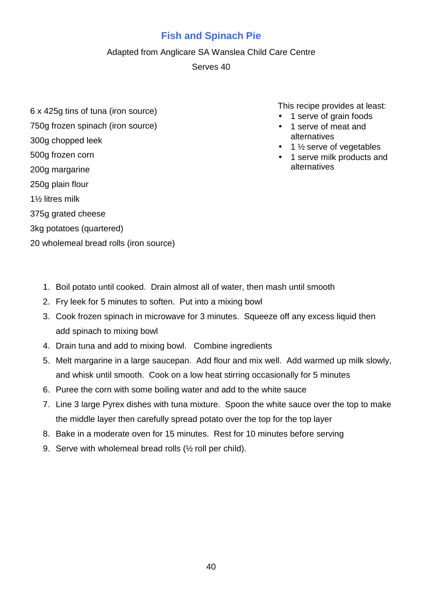# **Fish and Spinach Pie**

#### Adapted from Anglicare SA Wanslea Child Care Centre

Serves 40

- 6 x 425g tins of tuna (iron source)
- 750g frozen spinach (iron source)

#### 300g chopped leek

- 500g frozen corn
- 200g margarine
- 250g plain flour
- 1½ litres milk
- 375g grated cheese
- 3kg potatoes (quartered)
- 20 wholemeal bread rolls (iron source)

- 1 serve of grain foods
- 1 serve of meat and alternatives
- $\bullet$  1  $\frac{1}{2}$  serve of vegetables
- 1 serve milk products and alternatives

- 1. Boil potato until cooked. Drain almost all of water, then mash until smooth
- 2. Fry leek for 5 minutes to soften. Put into a mixing bowl
- 3. Cook frozen spinach in microwave for 3 minutes. Squeeze off any excess liquid then add spinach to mixing bowl
- 4. Drain tuna and add to mixing bowl. Combine ingredients
- 5. Melt margarine in a large saucepan. Add flour and mix well. Add warmed up milk slowly, and whisk until smooth. Cook on a low heat stirring occasionally for 5 minutes
- 6. Puree the corn with some boiling water and add to the white sauce
- 7. Line 3 large Pyrex dishes with tuna mixture. Spoon the white sauce over the top to make the middle layer then carefully spread potato over the top for the top layer
- 8. Bake in a moderate oven for 15 minutes. Rest for 10 minutes before serving
- 9. Serve with wholemeal bread rolls (½ roll per child).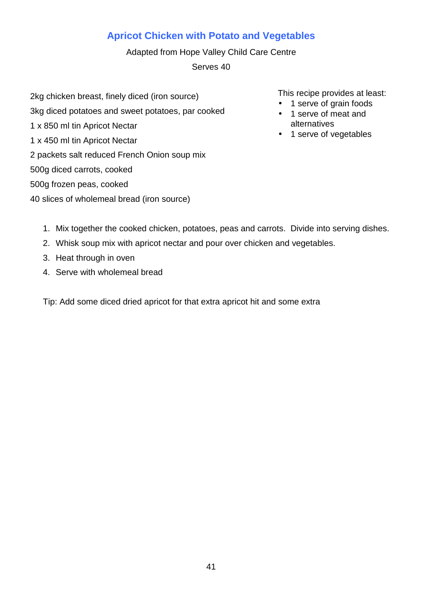# **Apricot Chicken with Potato and Vegetables**

Adapted from Hope Valley Child Care Centre Serves 40

- 2kg chicken breast, finely diced (iron source) 3kg diced potatoes and sweet potatoes, par cooked 1 x 850 ml tin Apricot Nectar 1 x 450 ml tin Apricot Nectar 2 packets salt reduced French Onion soup mix 500g diced carrots, cooked 500g frozen peas, cooked
- 40 slices of wholemeal bread (iron source)

This recipe provides at least:

- 1 serve of grain foods
- 1 serve of meat and alternatives
- 1 serve of vegetables

- 1. Mix together the cooked chicken, potatoes, peas and carrots. Divide into serving dishes.
- 2. Whisk soup mix with apricot nectar and pour over chicken and vegetables.
- 3. Heat through in oven
- 4. Serve with wholemeal bread

Tip: Add some diced dried apricot for that extra apricot hit and some extra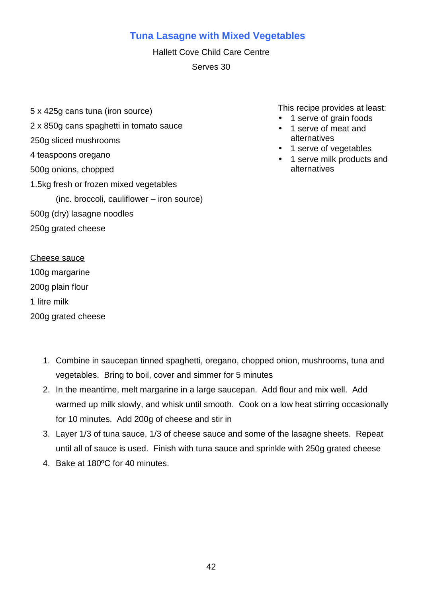## **Tuna Lasagne with Mixed Vegetables**

Hallett Cove Child Care Centre Serves 30

5 x 425g cans tuna (iron source) 2 x 850g cans spaghetti in tomato sauce 250g sliced mushrooms 4 teaspoons oregano 500g onions, chopped 1.5kg fresh or frozen mixed vegetables (inc. broccoli, cauliflower – iron source) 500g (dry) lasagne noodles 250g grated cheese

This recipe provides at least:

- 1 serve of grain foods
- 1 serve of meat and alternatives
- 1 serve of vegetables
- 1 serve milk products and alternatives

Cheese sauce

100g margarine

200g plain flour

1 litre milk

200g grated cheese

- 1. Combine in saucepan tinned spaghetti, oregano, chopped onion, mushrooms, tuna and vegetables. Bring to boil, cover and simmer for 5 minutes
- 2. In the meantime, melt margarine in a large saucepan. Add flour and mix well. Add warmed up milk slowly, and whisk until smooth. Cook on a low heat stirring occasionally for 10 minutes. Add 200g of cheese and stir in
- 3. Layer 1/3 of tuna sauce, 1/3 of cheese sauce and some of the lasagne sheets. Repeat until all of sauce is used. Finish with tuna sauce and sprinkle with 250g grated cheese
- 4. Bake at 180ºC for 40 minutes.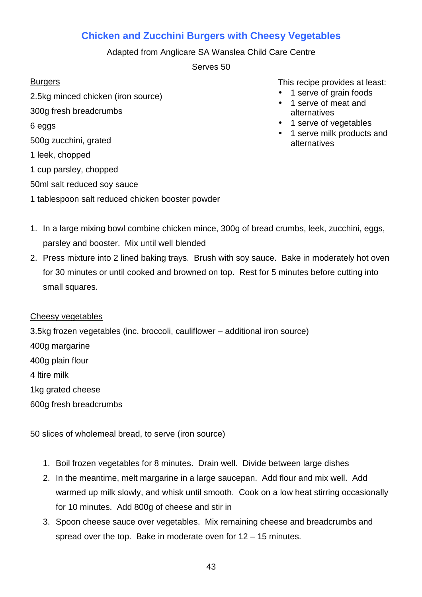# **Chicken and Zucchini Burgers with Cheesy Vegetables**

Adapted from Anglicare SA Wanslea Child Care Centre

Serves 50

## **Burgers**

2.5kg minced chicken (iron source) 300g fresh breadcrumbs 6 eggs 500g zucchini, grated 1 leek, chopped 1 cup parsley, chopped 50ml salt reduced soy sauce 1 tablespoon salt reduced chicken booster powder This recipe provides at least:

- 1 serve of grain foods
- 1 serve of meat and alternatives
- 1 serve of vegetables
- 1 serve milk products and alternatives

- 1. In a large mixing bowl combine chicken mince, 300g of bread crumbs, leek, zucchini, eggs, parsley and booster. Mix until well blended
- 2. Press mixture into 2 lined baking trays. Brush with soy sauce. Bake in moderately hot oven for 30 minutes or until cooked and browned on top. Rest for 5 minutes before cutting into small squares.

#### Cheesy vegetables

3.5kg frozen vegetables (inc. broccoli, cauliflower – additional iron source) 400g margarine 400g plain flour 4 ltire milk 1kg grated cheese 600g fresh breadcrumbs

50 slices of wholemeal bread, to serve (iron source)

- 1. Boil frozen vegetables for 8 minutes. Drain well. Divide between large dishes
- 2. In the meantime, melt margarine in a large saucepan. Add flour and mix well. Add warmed up milk slowly, and whisk until smooth. Cook on a low heat stirring occasionally for 10 minutes. Add 800g of cheese and stir in
- 3. Spoon cheese sauce over vegetables. Mix remaining cheese and breadcrumbs and spread over the top. Bake in moderate oven for  $12 - 15$  minutes.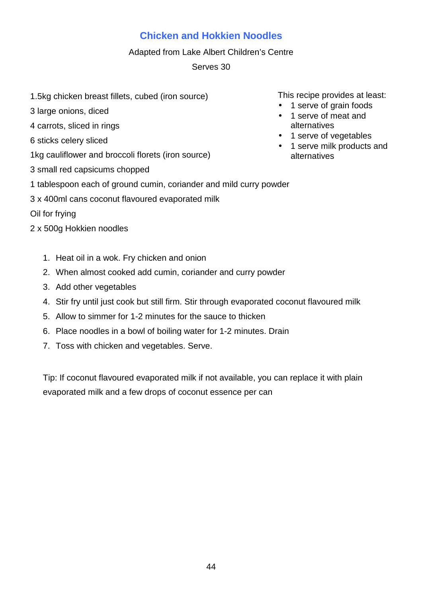# **Chicken and Hokkien Noodles**

#### Adapted from Lake Albert Children's Centre

## Serves 30

- 1.5kg chicken breast fillets, cubed (iron source)
- 3 large onions, diced
- 4 carrots, sliced in rings
- 6 sticks celery sliced
- 1kg cauliflower and broccoli florets (iron source)
- 3 small red capsicums chopped
- 1 tablespoon each of ground cumin, coriander and mild curry powder
- 3 x 400ml cans coconut flavoured evaporated milk

Oil for frying

- 2 x 500g Hokkien noodles
	- 1. Heat oil in a wok. Fry chicken and onion
	- 2. When almost cooked add cumin, coriander and curry powder
	- 3. Add other vegetables
	- 4. Stir fry until just cook but still firm. Stir through evaporated coconut flavoured milk
	- 5. Allow to simmer for 1-2 minutes for the sauce to thicken
	- 6. Place noodles in a bowl of boiling water for 1-2 minutes. Drain
	- 7. Toss with chicken and vegetables. Serve.

Tip: If coconut flavoured evaporated milk if not available, you can replace it with plain evaporated milk and a few drops of coconut essence per can

- 1 serve of grain foods
- 1 serve of meat and alternatives
- 1 serve of vegetables
- 1 serve milk products and alternatives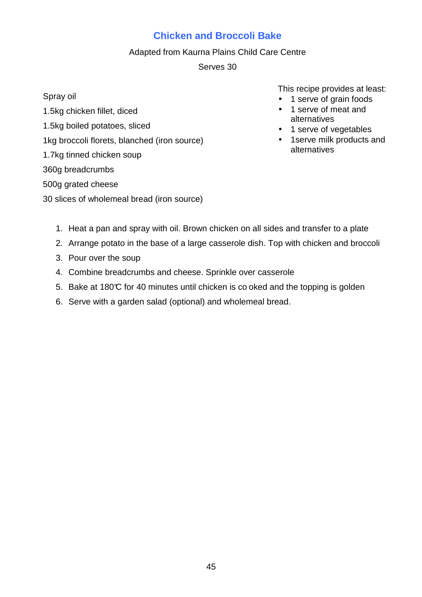## **Chicken and Broccoli Bake**

#### Adapted from Kaurna Plains Child Care Centre

Serves 30

Spray oil 1.5kg chicken fillet, diced

- 1.5kg boiled potatoes, sliced
- 1kg broccoli florets, blanched (iron source)
- 1.7kg tinned chicken soup

## 360g breadcrumbs

## 500g grated cheese

30 slices of wholemeal bread (iron source)

- 1 serve of grain foods
- 1 serve of meat and alternatives
- 1 serve of vegetables
- 1serve milk products and alternatives

- 1. Heat a pan and spray with oil. Brown chicken on all sides and transfer to a plate
- 2. Arrange potato in the base of a large casserole dish. Top with chicken and broccoli
- 3. Pour over the soup
- 4. Combine breadcrumbs and cheese. Sprinkle over casserole
- 5. Bake at 180 $\mathbb C$  for 40 minutes until chicken is co oked and the topping is golden
- 6. Serve with a garden salad (optional) and wholemeal bread.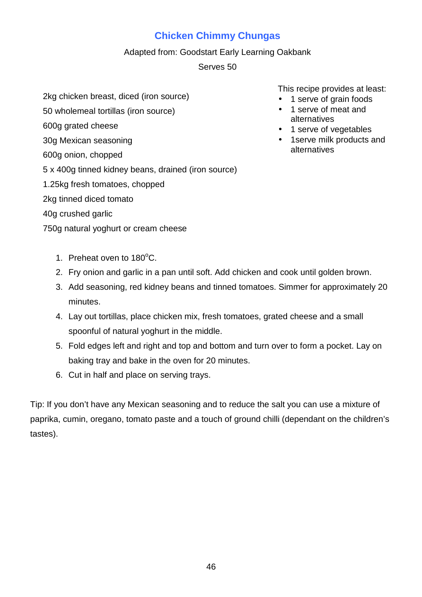# **Chicken Chimmy Chungas**

## Adapted from: Goodstart Early Learning Oakbank

## Serves 50

- 2kg chicken breast, diced (iron source)
- 50 wholemeal tortillas (iron source)
- 600g grated cheese
- 30g Mexican seasoning
- 600g onion, chopped
- 5 x 400g tinned kidney beans, drained (iron source)
- 1.25kg fresh tomatoes, chopped
- 2kg tinned diced tomato
- 40g crushed garlic
- 750g natural yoghurt or cream cheese

This recipe provides at least:

- 1 serve of grain foods
- 1 serve of meat and alternatives
- 1 serve of vegetables
- 1serve milk products and alternatives

- 1. Preheat oven to  $180^{\circ}$ C.
- 2. Fry onion and garlic in a pan until soft. Add chicken and cook until golden brown.
- 3. Add seasoning, red kidney beans and tinned tomatoes. Simmer for approximately 20 minutes.
- 4. Lay out tortillas, place chicken mix, fresh tomatoes, grated cheese and a small spoonful of natural yoghurt in the middle.
- 5. Fold edges left and right and top and bottom and turn over to form a pocket. Lay on baking tray and bake in the oven for 20 minutes.
- 6. Cut in half and place on serving trays.

Tip: If you don't have any Mexican seasoning and to reduce the salt you can use a mixture of paprika, cumin, oregano, tomato paste and a touch of ground chilli (dependant on the children's tastes).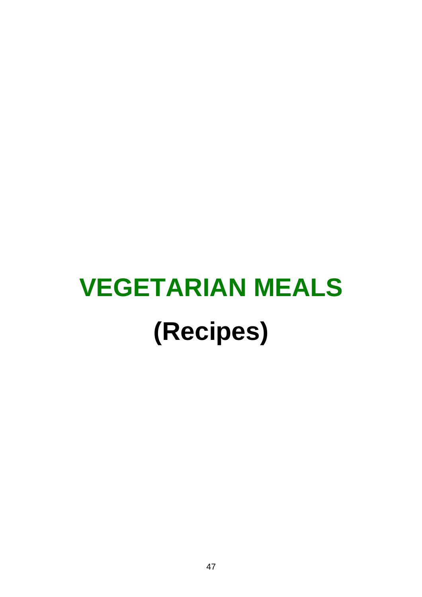# **VEGETARIAN MEALS (Recipes)**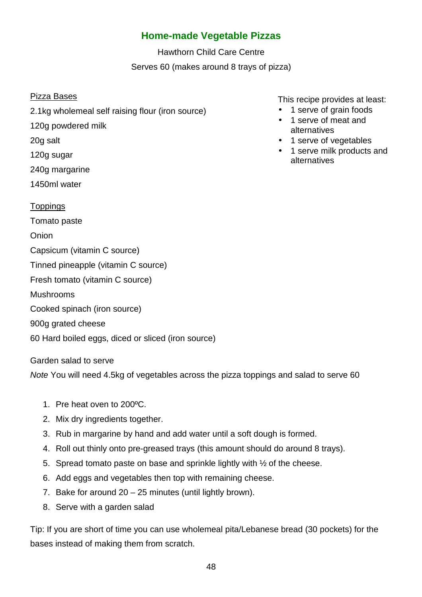## **Home-made Vegetable Pizzas**

Hawthorn Child Care Centre Serves 60 (makes around 8 trays of pizza)

#### Pizza Bases

- 2.1kg wholemeal self raising flour (iron source)
- 120g powdered milk
- 20g salt
- 120g sugar
- 240g margarine
- 1450ml water
- Toppings
- Tomato paste
- **Onion**
- Capsicum (vitamin C source)
- Tinned pineapple (vitamin C source)
- Fresh tomato (vitamin C source)
- Mushrooms
- Cooked spinach (iron source)
- 900g grated cheese
- 60 Hard boiled eggs, diced or sliced (iron source)
- Garden salad to serve

Note You will need 4.5kg of vegetables across the pizza toppings and salad to serve 60

- 1. Pre heat oven to 200ºC.
- 2. Mix dry ingredients together.
- 3. Rub in margarine by hand and add water until a soft dough is formed.
- 4. Roll out thinly onto pre-greased trays (this amount should do around 8 trays).
- 5. Spread tomato paste on base and sprinkle lightly with ½ of the cheese.
- 6. Add eggs and vegetables then top with remaining cheese.
- 7. Bake for around 20 25 minutes (until lightly brown).
- 8. Serve with a garden salad

Tip: If you are short of time you can use wholemeal pita/Lebanese bread (30 pockets) for the bases instead of making them from scratch.

- 1 serve of grain foods • 1 serve of meat and alternatives
- 1 serve of vegetables
- 1 serve milk products and alternatives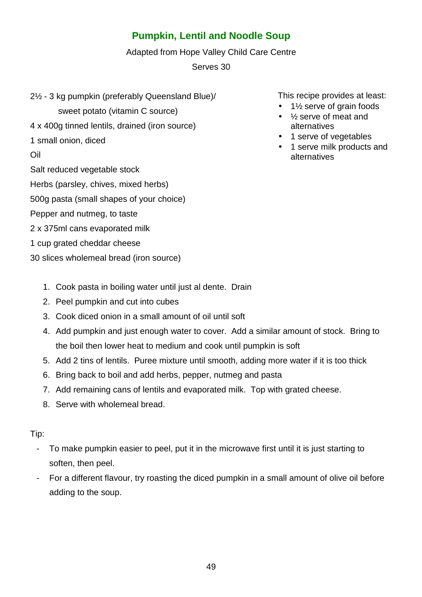# **Pumpkin, Lentil and Noodle Soup**

Adapted from Hope Valley Child Care Centre

Serves 30

2½ - 3 kg pumpkin (preferably Queensland Blue)/

sweet potato (vitamin C source)

- 4 x 400g tinned lentils, drained (iron source)
- 1 small onion, diced

Oil

Salt reduced vegetable stock

Herbs (parsley, chives, mixed herbs)

500g pasta (small shapes of your choice)

- Pepper and nutmeg, to taste
- 2 x 375ml cans evaporated milk
- 1 cup grated cheddar cheese
- 30 slices wholemeal bread (iron source)
	- 1. Cook pasta in boiling water until just al dente. Drain
	- 2. Peel pumpkin and cut into cubes
	- 3. Cook diced onion in a small amount of oil until soft
	- 4. Add pumpkin and just enough water to cover. Add a similar amount of stock. Bring to the boil then lower heat to medium and cook until pumpkin is soft
	- 5. Add 2 tins of lentils. Puree mixture until smooth, adding more water if it is too thick
	- 6. Bring back to boil and add herbs, pepper, nutmeg and pasta
	- 7. Add remaining cans of lentils and evaporated milk. Top with grated cheese.
	- 8. Serve with wholemeal bread.

## Tip:

- To make pumpkin easier to peel, put it in the microwave first until it is just starting to soften, then peel.
- For a different flavour, try roasting the diced pumpkin in a small amount of olive oil before adding to the soup.

- 1<sup>1/2</sup> serve of grain foods •  $\frac{1}{2}$  serve of meat and
- alternatives • 1 serve of vegetables
- 1 serve milk products and alternatives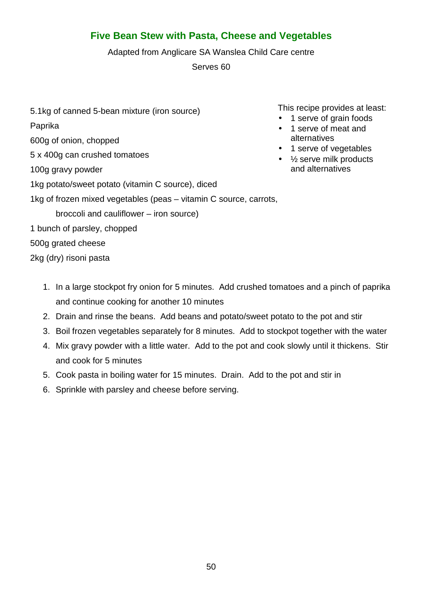## **Five Bean Stew with Pasta, Cheese and Vegetables**

Adapted from Anglicare SA Wanslea Child Care centre

Serves 60

5.1kg of canned 5-bean mixture (iron source) Paprika 600g of onion, chopped 5 x 400g can crushed tomatoes 100g gravy powder 1kg potato/sweet potato (vitamin C source), diced 1kg of frozen mixed vegetables (peas – vitamin C source, carrots, broccoli and cauliflower – iron source) 1 bunch of parsley, chopped 500g grated cheese • 1 serve of meat and alternatives and alternatives

2kg (dry) risoni pasta

- 1. In a large stockpot fry onion for 5 minutes. Add crushed tomatoes and a pinch of paprika and continue cooking for another 10 minutes
- 2. Drain and rinse the beans. Add beans and potato/sweet potato to the pot and stir
- 3. Boil frozen vegetables separately for 8 minutes. Add to stockpot together with the water
- 4. Mix gravy powder with a little water. Add to the pot and cook slowly until it thickens. Stir and cook for 5 minutes
- 5. Cook pasta in boiling water for 15 minutes. Drain. Add to the pot and stir in
- 6. Sprinkle with parsley and cheese before serving.

- 1 serve of grain foods
- 1 serve of vegetables
- $\bullet$   $\frac{1}{2}$  serve milk products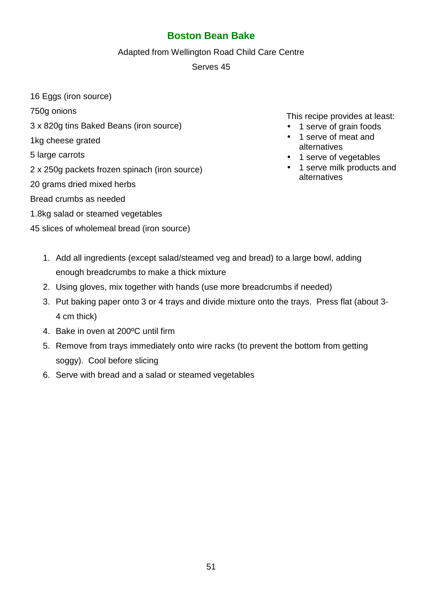## **Boston Bean Bake**

#### Adapted from Wellington Road Child Care Centre

Serves 45

16 Eggs (iron source)

750g onions

- 3 x 820g tins Baked Beans (iron source)
- 1kg cheese grated
- 5 large carrots
- 2 x 250g packets frozen spinach (iron source)
- 20 grams dried mixed herbs

## Bread crumbs as needed

- 1.8kg salad or steamed vegetables
- 45 slices of wholemeal bread (iron source)

- 1 serve of grain foods
- 1 serve of meat and alternatives
- 1 serve of vegetables
- 1 serve milk products and alternatives

- 1. Add all ingredients (except salad/steamed veg and bread) to a large bowl, adding enough breadcrumbs to make a thick mixture
- 2. Using gloves, mix together with hands (use more breadcrumbs if needed)
- 3. Put baking paper onto 3 or 4 trays and divide mixture onto the trays. Press flat (about 3- 4 cm thick)
- 4. Bake in oven at 200ºC until firm
- 5. Remove from trays immediately onto wire racks (to prevent the bottom from getting soggy). Cool before slicing
- 6. Serve with bread and a salad or steamed vegetables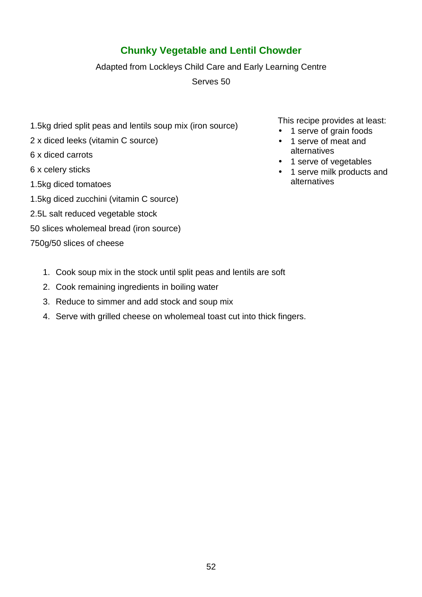# **Chunky Vegetable and Lentil Chowder**

Adapted from Lockleys Child Care and Early Learning Centre

Serves 50

- 1.5kg dried split peas and lentils soup mix (iron source)
- 2 x diced leeks (vitamin C source)
- 6 x diced carrots
- 6 x celery sticks
- 1.5kg diced tomatoes
- 1.5kg diced zucchini (vitamin C source)
- 2.5L salt reduced vegetable stock
- 50 slices wholemeal bread (iron source)
- 750g/50 slices of cheese
- This recipe provides at least:
- 1 serve of grain foods
- 1 serve of meat and alternatives
- 1 serve of vegetables
- 1 serve milk products and alternatives

- 1. Cook soup mix in the stock until split peas and lentils are soft
- 2. Cook remaining ingredients in boiling water
- 3. Reduce to simmer and add stock and soup mix
- 4. Serve with grilled cheese on wholemeal toast cut into thick fingers.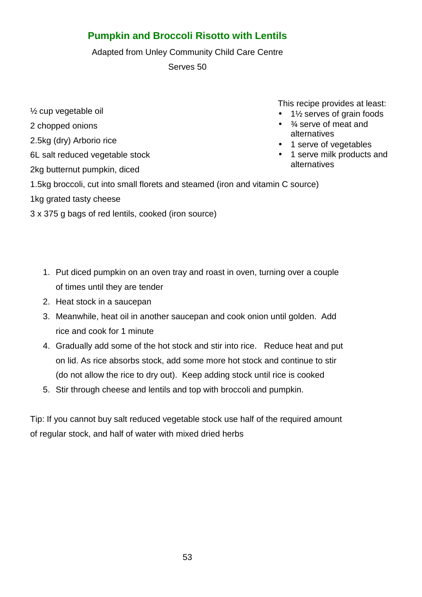# **Pumpkin and Broccoli Risotto with Lentils**

Adapted from Unley Community Child Care Centre

Serves 50

½ cup vegetable oil 2 chopped onions 2.5kg (dry) Arborio rice

6L salt reduced vegetable stock

2kg butternut pumpkin, diced

This recipe provides at least:

- 1½ serves of grain foods
- $\bullet$   $\frac{3}{4}$  serve of meat and alternatives
- 1 serve of vegetables
- 1 serve milk products and alternatives

1.5kg broccoli, cut into small florets and steamed (iron and vitamin C source)

1kg grated tasty cheese

3 x 375 g bags of red lentils, cooked (iron source)

- 1. Put diced pumpkin on an oven tray and roast in oven, turning over a couple of times until they are tender
- 2. Heat stock in a saucepan
- 3. Meanwhile, heat oil in another saucepan and cook onion until golden. Add rice and cook for 1 minute
- 4. Gradually add some of the hot stock and stir into rice. Reduce heat and put on lid. As rice absorbs stock, add some more hot stock and continue to stir (do not allow the rice to dry out). Keep adding stock until rice is cooked
- 5. Stir through cheese and lentils and top with broccoli and pumpkin.

Tip: If you cannot buy salt reduced vegetable stock use half of the required amount of regular stock, and half of water with mixed dried herbs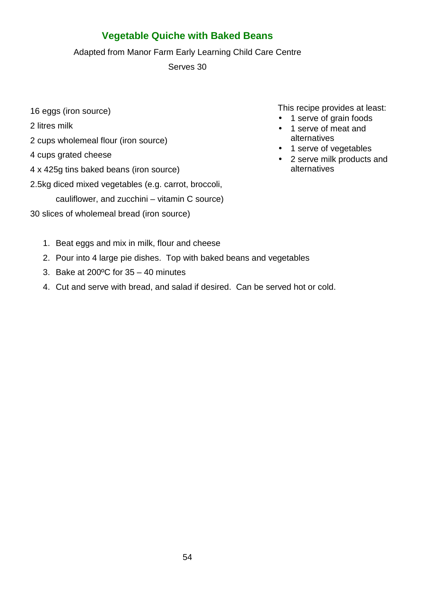# **Vegetable Quiche with Baked Beans**

Adapted from Manor Farm Early Learning Child Care Centre

Serves 30

- 16 eggs (iron source)
- 2 litres milk
- 2 cups wholemeal flour (iron source)
- 4 cups grated cheese
- 4 x 425g tins baked beans (iron source)
- 2.5kg diced mixed vegetables (e.g. carrot, broccoli,

cauliflower, and zucchini – vitamin C source)

30 slices of wholemeal bread (iron source)

- 1. Beat eggs and mix in milk, flour and cheese
- 2. Pour into 4 large pie dishes. Top with baked beans and vegetables
- 3. Bake at 200ºC for 35 40 minutes
- 4. Cut and serve with bread, and salad if desired. Can be served hot or cold.

- 1 serve of grain foods
- 1 serve of meat and alternatives
- 1 serve of vegetables
- 2 serve milk products and alternatives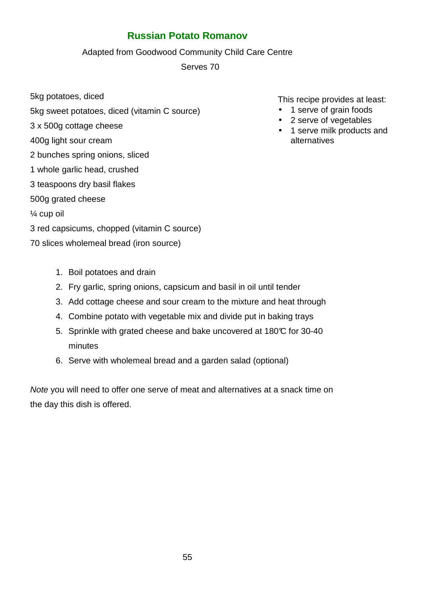## **Russian Potato Romanov**

#### Adapted from Goodwood Community Child Care Centre

Serves 70

5kg potatoes, diced

- 5kg sweet potatoes, diced (vitamin C source)
- 3 x 500g cottage cheese
- 400g light sour cream
- 2 bunches spring onions, sliced
- 1 whole garlic head, crushed
- 3 teaspoons dry basil flakes
- 500g grated cheese
- ¼ cup oil
- 3 red capsicums, chopped (vitamin C source)
- 70 slices wholemeal bread (iron source)

This recipe provides at least:

- 1 serve of grain foods
- 2 serve of vegetables
- 1 serve milk products and alternatives

- 1. Boil potatoes and drain
- 2. Fry garlic, spring onions, capsicum and basil in oil until tender
- 3. Add cottage cheese and sour cream to the mixture and heat through
- 4. Combine potato with vegetable mix and divide put in baking trays
- 5. Sprinkle with grated cheese and bake uncovered at 180°C for 30-40 minutes
- 6. Serve with wholemeal bread and a garden salad (optional)

Note you will need to offer one serve of meat and alternatives at a snack time on the day this dish is offered.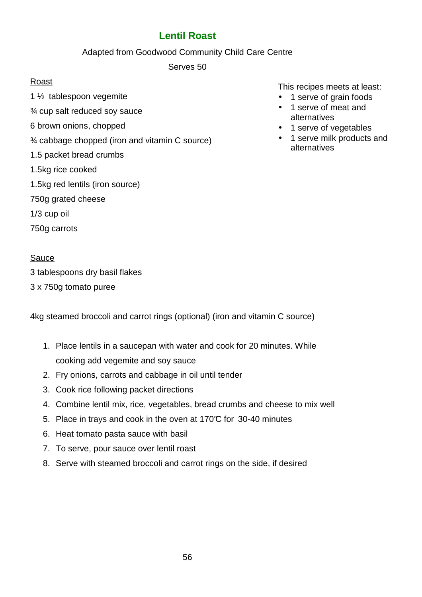## **Lentil Roast**

#### Adapted from Goodwood Community Child Care Centre

Serves 50

## Roast

- 1 ½ tablespoon vegemite
- ¾ cup salt reduced soy sauce
- 6 brown onions, chopped
- ¾ cabbage chopped (iron and vitamin C source)
- 1.5 packet bread crumbs
- 1.5kg rice cooked
- 1.5kg red lentils (iron source)
- 750g grated cheese
- 1/3 cup oil
- 750g carrots

## Sauce

3 tablespoons dry basil flakes

3 x 750g tomato puree

4kg steamed broccoli and carrot rings (optional) (iron and vitamin C source)

- 1. Place lentils in a saucepan with water and cook for 20 minutes. While cooking add vegemite and soy sauce
- 2. Fry onions, carrots and cabbage in oil until tender
- 3. Cook rice following packet directions
- 4. Combine lentil mix, rice, vegetables, bread crumbs and cheese to mix well
- 5. Place in trays and cook in the oven at 170°C for 30-40 minutes
- 6. Heat tomato pasta sauce with basil
- 7. To serve, pour sauce over lentil roast
- 8. Serve with steamed broccoli and carrot rings on the side, if desired

This recipes meets at least:

- 1 serve of grain foods
- 1 serve of meat and alternatives
- 1 serve of vegetables
- 1 serve milk products and alternatives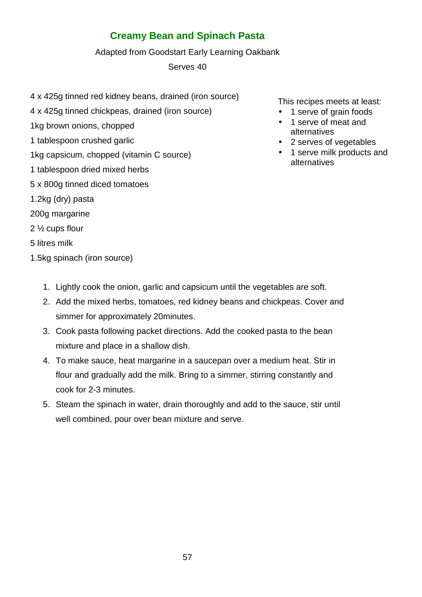# **Creamy Bean and Spinach Pasta**

#### Adapted from Goodstart Early Learning Oakbank

Serves 40

- 4 x 425g tinned red kidney beans, drained (iron source)
- 4 x 425g tinned chickpeas, drained (iron source)
- 1kg brown onions, chopped
- 1 tablespoon crushed garlic
- 1kg capsicum, chopped (vitamin C source)
- 1 tablespoon dried mixed herbs
- 5 x 800g tinned diced tomatoes
- 1.2kg (dry) pasta
- 200g margarine
- 2 ½ cups flour
- 5 litres milk
- 1.5kg spinach (iron source)
- This recipes meets at least:
- 1 serve of grain foods
- 1 serve of meat and alternatives
- 2 serves of vegetables
- 1 serve milk products and alternatives

- 1. Lightly cook the onion, garlic and capsicum until the vegetables are soft.
- 2. Add the mixed herbs, tomatoes, red kidney beans and chickpeas. Cover and simmer for approximately 20minutes.
- 3. Cook pasta following packet directions. Add the cooked pasta to the bean mixture and place in a shallow dish.
- 4. To make sauce, heat margarine in a saucepan over a medium heat. Stir in flour and gradually add the milk. Bring to a simmer, stirring constantly and cook for 2-3 minutes.
- 5. Steam the spinach in water, drain thoroughly and add to the sauce, stir until well combined, pour over bean mixture and serve.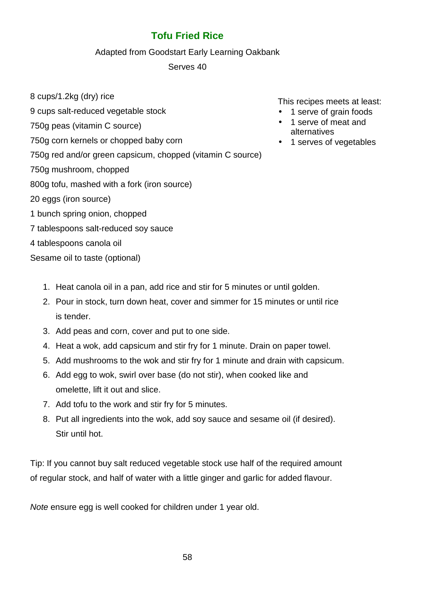# **Tofu Fried Rice**

## Adapted from Goodstart Early Learning Oakbank

## Serves 40

- 8 cups/1.2kg (dry) rice
- 9 cups salt-reduced vegetable stock
- 750g peas (vitamin C source)
- 750g corn kernels or chopped baby corn
- 750g red and/or green capsicum, chopped (vitamin C source)
- 750g mushroom, chopped
- 800g tofu, mashed with a fork (iron source)
- 20 eggs (iron source)
- 1 bunch spring onion, chopped
- 7 tablespoons salt-reduced soy sauce
- 4 tablespoons canola oil
- Sesame oil to taste (optional)

This recipes meets at least:

- 1 serve of grain foods
- 1 serve of meat and alternatives
- 1 serves of vegetables

- 1. Heat canola oil in a pan, add rice and stir for 5 minutes or until golden.
- 2. Pour in stock, turn down heat, cover and simmer for 15 minutes or until rice is tender.
- 3. Add peas and corn, cover and put to one side.
- 4. Heat a wok, add capsicum and stir fry for 1 minute. Drain on paper towel.
- 5. Add mushrooms to the wok and stir fry for 1 minute and drain with capsicum.
- 6. Add egg to wok, swirl over base (do not stir), when cooked like and omelette, lift it out and slice.
- 7. Add tofu to the work and stir fry for 5 minutes.
- 8. Put all ingredients into the wok, add soy sauce and sesame oil (if desired). Stir until hot.

Tip: If you cannot buy salt reduced vegetable stock use half of the required amount of regular stock, and half of water with a little ginger and garlic for added flavour.

Note ensure egg is well cooked for children under 1 year old.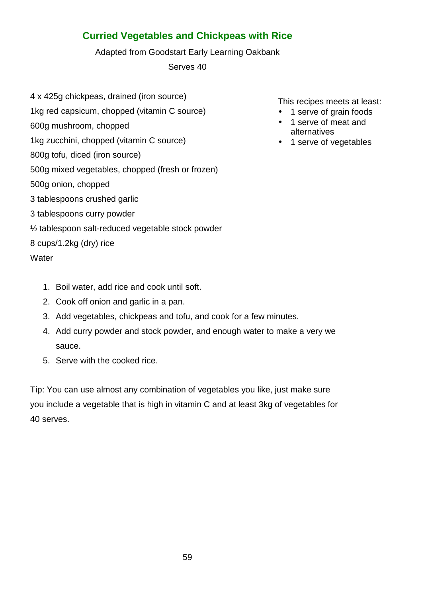# **Curried Vegetables and Chickpeas with Rice**

Adapted from Goodstart Early Learning Oakbank

Serves 40

- 4 x 425g chickpeas, drained (iron source)
- 1kg red capsicum, chopped (vitamin C source)
- 600g mushroom, chopped
- 1kg zucchini, chopped (vitamin C source)
- 800g tofu, diced (iron source)
- 500g mixed vegetables, chopped (fresh or frozen)
- 500g onion, chopped
- 3 tablespoons crushed garlic
- 3 tablespoons curry powder
- ½ tablespoon salt-reduced vegetable stock powder

## 8 cups/1.2kg (dry) rice

**Water** 

- 1. Boil water, add rice and cook until soft.
- 2. Cook off onion and garlic in a pan.
- 3. Add vegetables, chickpeas and tofu, and cook for a few minutes.
- 4. Add curry powder and stock powder, and enough water to make a very we sauce.
- 5. Serve with the cooked rice.

Tip: You can use almost any combination of vegetables you like, just make sure you include a vegetable that is high in vitamin C and at least 3kg of vegetables for 40 serves.

This recipes meets at least:

- 1 serve of grain foods
- 1 serve of meat and alternatives
- 1 serve of vegetables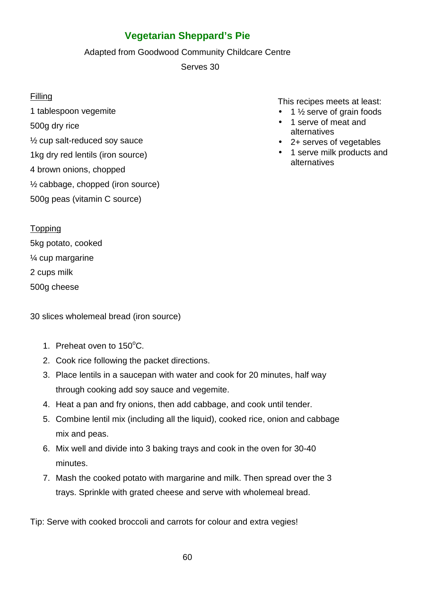# **Vegetarian Sheppard's Pie**

Adapted from Goodwood Community Childcare Centre

Serves 30

## **Filling**

1 tablespoon vegemite 500g dry rice ½ cup salt-reduced soy sauce 1kg dry red lentils (iron source) 4 brown onions, chopped ½ cabbage, chopped (iron source) 500g peas (vitamin C source)

This recipes meets at least:

- $\bullet$  1  $\frac{1}{2}$  serve of grain foods
- 1 serve of meat and alternatives
- 2+ serves of vegetables
- 1 serve milk products and alternatives

Topping

5kg potato, cooked ¼ cup margarine 2 cups milk

500g cheese

30 slices wholemeal bread (iron source)

- 1. Preheat oven to 150°C.
- 2. Cook rice following the packet directions.
- 3. Place lentils in a saucepan with water and cook for 20 minutes, half way through cooking add soy sauce and vegemite.
- 4. Heat a pan and fry onions, then add cabbage, and cook until tender.
- 5. Combine lentil mix (including all the liquid), cooked rice, onion and cabbage mix and peas.
- 6. Mix well and divide into 3 baking trays and cook in the oven for 30-40 minutes.
- 7. Mash the cooked potato with margarine and milk. Then spread over the 3 trays. Sprinkle with grated cheese and serve with wholemeal bread.

Tip: Serve with cooked broccoli and carrots for colour and extra vegies!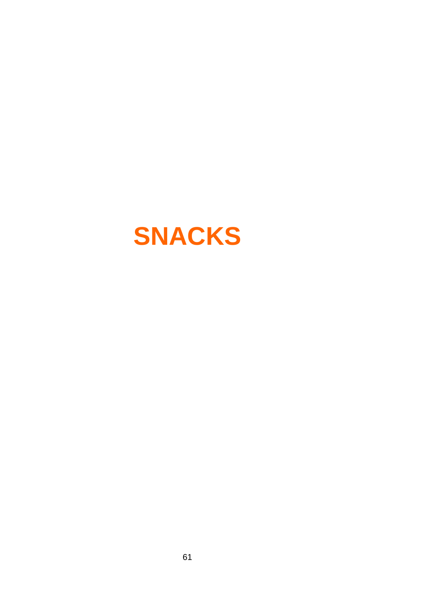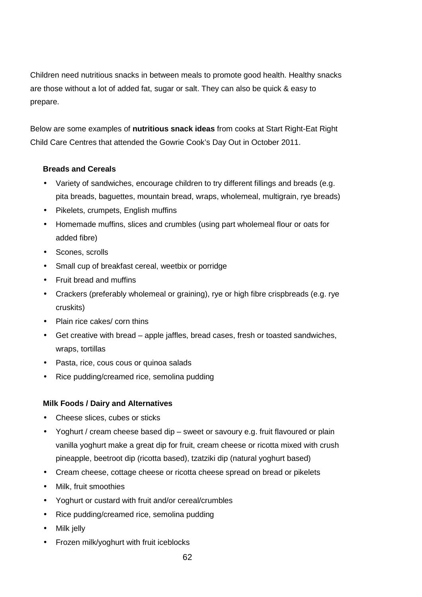Children need nutritious snacks in between meals to promote good health. Healthy snacks are those without a lot of added fat, sugar or salt. They can also be quick & easy to prepare.

Below are some examples of **nutritious snack ideas** from cooks at Start Right-Eat Right Child Care Centres that attended the Gowrie Cook's Day Out in October 2011.

#### **Breads and Cereals**

- Variety of sandwiches, encourage children to try different fillings and breads (e.g. pita breads, baguettes, mountain bread, wraps, wholemeal, multigrain, rye breads)
- Pikelets, crumpets, English muffins
- Homemade muffins, slices and crumbles (using part wholemeal flour or oats for added fibre)
- Scones, scrolls
- Small cup of breakfast cereal, weetbix or porridge
- Fruit bread and muffins
- Crackers (preferably wholemeal or graining), rye or high fibre crispbreads (e.g. rye cruskits)
- Plain rice cakes/ corn thins
- Get creative with bread apple jaffles, bread cases, fresh or toasted sandwiches, wraps, tortillas
- Pasta, rice, cous cous or quinoa salads
- Rice pudding/creamed rice, semolina pudding

#### **Milk Foods / Dairy and Alternatives**

- Cheese slices, cubes or sticks
- Yoghurt / cream cheese based dip sweet or savoury e.g. fruit flavoured or plain vanilla yoghurt make a great dip for fruit, cream cheese or ricotta mixed with crush pineapple, beetroot dip (ricotta based), tzatziki dip (natural yoghurt based)
- Cream cheese, cottage cheese or ricotta cheese spread on bread or pikelets
- Milk, fruit smoothies
- Yoghurt or custard with fruit and/or cereal/crumbles
- Rice pudding/creamed rice, semolina pudding
- Milk jelly
- Frozen milk/yoghurt with fruit iceblocks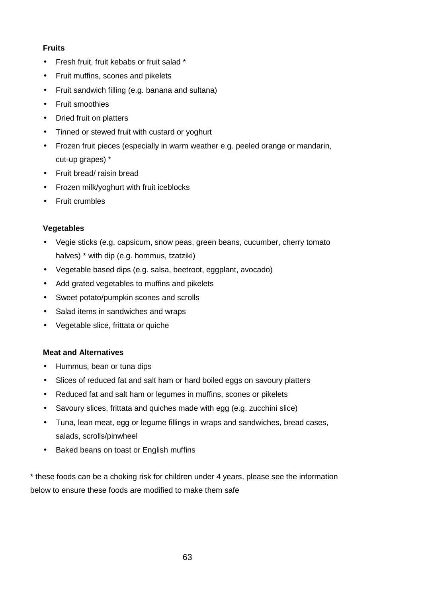#### **Fruits**

- Fresh fruit, fruit kebabs or fruit salad \*
- Fruit muffins, scones and pikelets
- Fruit sandwich filling (e.g. banana and sultana)
- Fruit smoothies
- Dried fruit on platters
- Tinned or stewed fruit with custard or yoghurt
- Frozen fruit pieces (especially in warm weather e.g. peeled orange or mandarin, cut-up grapes) \*
- Fruit bread/ raisin bread
- Frozen milk/yoghurt with fruit iceblocks
- Fruit crumbles

#### **Vegetables**

- Vegie sticks (e.g. capsicum, snow peas, green beans, cucumber, cherry tomato halves) \* with dip (e.g. hommus, tzatziki)
- Vegetable based dips (e.g. salsa, beetroot, eggplant, avocado)
- Add grated vegetables to muffins and pikelets
- Sweet potato/pumpkin scones and scrolls
- Salad items in sandwiches and wraps
- Vegetable slice, frittata or quiche

#### **Meat and Alternatives**

- Hummus, bean or tuna dips
- Slices of reduced fat and salt ham or hard boiled eggs on savoury platters
- Reduced fat and salt ham or legumes in muffins, scones or pikelets
- Savoury slices, frittata and quiches made with egg (e.g. zucchini slice)
- Tuna, lean meat, egg or legume fillings in wraps and sandwiches, bread cases, salads, scrolls/pinwheel
- Baked beans on toast or English muffins

\* these foods can be a choking risk for children under 4 years, please see the information below to ensure these foods are modified to make them safe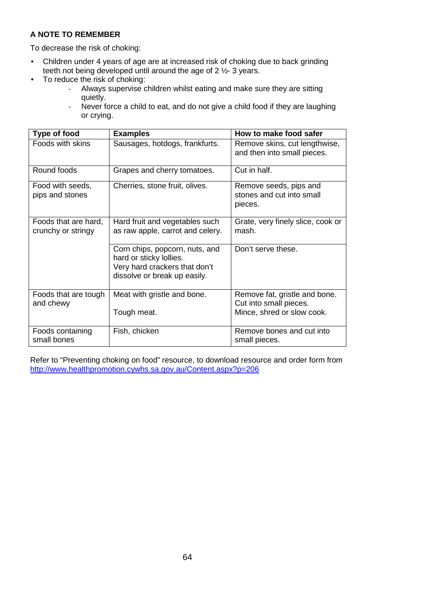#### **A NOTE TO REMEMBER**

To decrease the risk of choking:

- Children under 4 years of age are at increased risk of choking due to back grinding teeth not being developed until around the age of 2 ½- 3 years.
- To reduce the risk of choking:
	- Always supervise children whilst eating and make sure they are sitting quietly.
	- Never force a child to eat, and do not give a child food if they are laughing or crying.

| <b>Type of food</b>                        | <b>Examples</b>                                                                                                            | How to make food safer                                                                |
|--------------------------------------------|----------------------------------------------------------------------------------------------------------------------------|---------------------------------------------------------------------------------------|
| Foods with skins                           | Sausages, hotdogs, frankfurts.                                                                                             | Remove skins, cut lengthwise,<br>and then into small pieces.                          |
| Round foods                                | Grapes and cherry tomatoes.                                                                                                | Cut in half.                                                                          |
| Food with seeds,<br>pips and stones        | Cherries, stone fruit, olives.                                                                                             | Remove seeds, pips and<br>stones and cut into small<br>pieces.                        |
| Foods that are hard,<br>crunchy or stringy | Hard fruit and vegetables such<br>as raw apple, carrot and celery.                                                         | Grate, very finely slice, cook or<br>mash.                                            |
|                                            | Corn chips, popcorn, nuts, and<br>hard or sticky lollies.<br>Very hard crackers that don't<br>dissolve or break up easily. | Don't serve these.                                                                    |
| Foods that are tough<br>and chewy          | Meat with gristle and bone.<br>Tough meat.                                                                                 | Remove fat, gristle and bone.<br>Cut into small pieces.<br>Mince, shred or slow cook. |
| Foods containing<br>small bones            | Fish, chicken                                                                                                              | Remove bones and cut into<br>small pieces.                                            |

Refer to "Preventing choking on food" resource, to download resource and order form from http://www.healthpromotion.cywhs.sa.gov.au/Content.aspx?p=206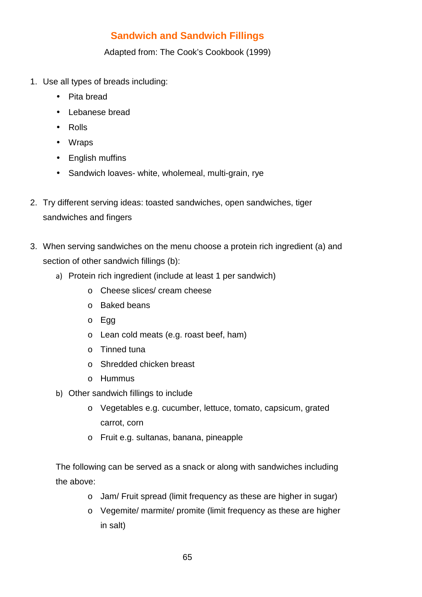# **Sandwich and Sandwich Fillings**

Adapted from: The Cook's Cookbook (1999)

- 1. Use all types of breads including:
	- Pita bread
	- Lebanese bread
	- Rolls
	- Wraps
	- English muffins
	- Sandwich loaves- white, wholemeal, multi-grain, rye
- 2. Try different serving ideas: toasted sandwiches, open sandwiches, tiger sandwiches and fingers
- 3. When serving sandwiches on the menu choose a protein rich ingredient (a) and section of other sandwich fillings (b):
	- a) Protein rich ingredient (include at least 1 per sandwich)
		- o Cheese slices/ cream cheese
		- o Baked beans
		- o Egg
		- o Lean cold meats (e.g. roast beef, ham)
		- o Tinned tuna
		- o Shredded chicken breast
		- o Hummus
	- b) Other sandwich fillings to include
		- o Vegetables e.g. cucumber, lettuce, tomato, capsicum, grated carrot, corn
		- o Fruit e.g. sultanas, banana, pineapple

The following can be served as a snack or along with sandwiches including the above:

- o Jam/ Fruit spread (limit frequency as these are higher in sugar)
- o Vegemite/ marmite/ promite (limit frequency as these are higher in salt)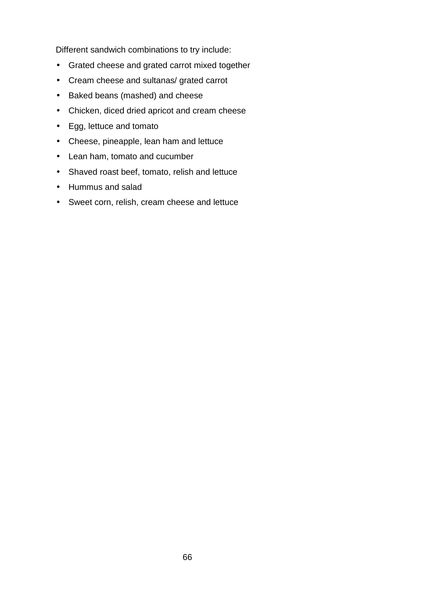Different sandwich combinations to try include:

- Grated cheese and grated carrot mixed together
- Cream cheese and sultanas/ grated carrot
- Baked beans (mashed) and cheese
- Chicken, diced dried apricot and cream cheese
- Egg, lettuce and tomato
- Cheese, pineapple, lean ham and lettuce
- Lean ham, tomato and cucumber
- Shaved roast beef, tomato, relish and lettuce
- Hummus and salad
- Sweet corn, relish, cream cheese and lettuce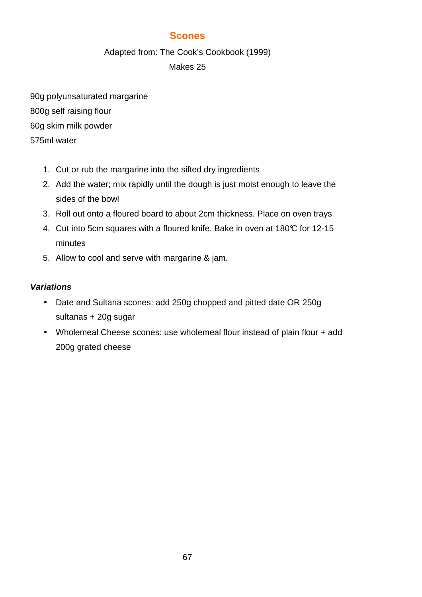## **Scones**

Adapted from: The Cook's Cookbook (1999)

## Makes 25

90g polyunsaturated margarine 800g self raising flour 60g skim milk powder 575ml water

- 1. Cut or rub the margarine into the sifted dry ingredients
- 2. Add the water; mix rapidly until the dough is just moist enough to leave the sides of the bowl
- 3. Roll out onto a floured board to about 2cm thickness. Place on oven trays
- 4. Cut into 5cm squares with a floured knife. Bake in oven at 180°C for 12-15 minutes
- 5. Allow to cool and serve with margarine & jam.

## **Variations**

- Date and Sultana scones: add 250g chopped and pitted date OR 250g sultanas + 20g sugar
- Wholemeal Cheese scones: use wholemeal flour instead of plain flour + add 200g grated cheese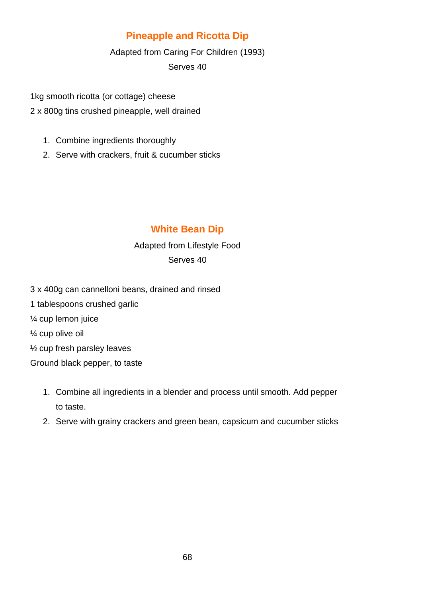# **Pineapple and Ricotta Dip**

Adapted from Caring For Children (1993)

Serves 40

1kg smooth ricotta (or cottage) cheese

- 2 x 800g tins crushed pineapple, well drained
	- 1. Combine ingredients thoroughly
	- 2. Serve with crackers, fruit & cucumber sticks

# **White Bean Dip**

## Adapted from Lifestyle Food Serves 40

- 3 x 400g can cannelloni beans, drained and rinsed
- 1 tablespoons crushed garlic
- ¼ cup lemon juice
- ¼ cup olive oil
- ½ cup fresh parsley leaves

Ground black pepper, to taste

- 1. Combine all ingredients in a blender and process until smooth. Add pepper to taste.
- 2. Serve with grainy crackers and green bean, capsicum and cucumber sticks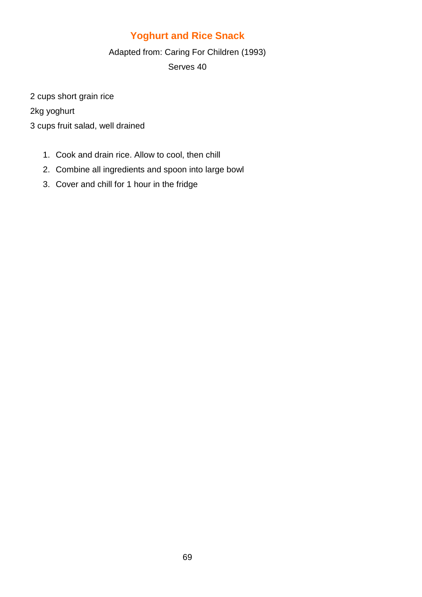# **Yoghurt and Rice Snack**

Adapted from: Caring For Children (1993)

Serves 40

2 cups short grain rice

2kg yoghurt

3 cups fruit salad, well drained

- 1. Cook and drain rice. Allow to cool, then chill
- 2. Combine all ingredients and spoon into large bowl
- 3. Cover and chill for 1 hour in the fridge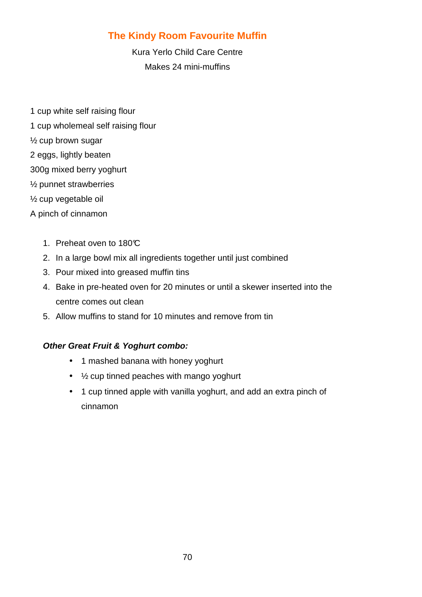# **The Kindy Room Favourite Muffin**

Kura Yerlo Child Care Centre Makes 24 mini-muffins

- 1 cup white self raising flour
- 1 cup wholemeal self raising flour
- ½ cup brown sugar
- 2 eggs, lightly beaten
- 300g mixed berry yoghurt
- ½ punnet strawberries
- ½ cup vegetable oil
- A pinch of cinnamon
	- 1. Preheat oven to 180°C
	- 2. In a large bowl mix all ingredients together until just combined
	- 3. Pour mixed into greased muffin tins
	- 4. Bake in pre-heated oven for 20 minutes or until a skewer inserted into the centre comes out clean
	- 5. Allow muffins to stand for 10 minutes and remove from tin

## **Other Great Fruit & Yoghurt combo:**

- 1 mashed banana with honey yoghurt
- ½ cup tinned peaches with mango yoghurt
- 1 cup tinned apple with vanilla yoghurt, and add an extra pinch of cinnamon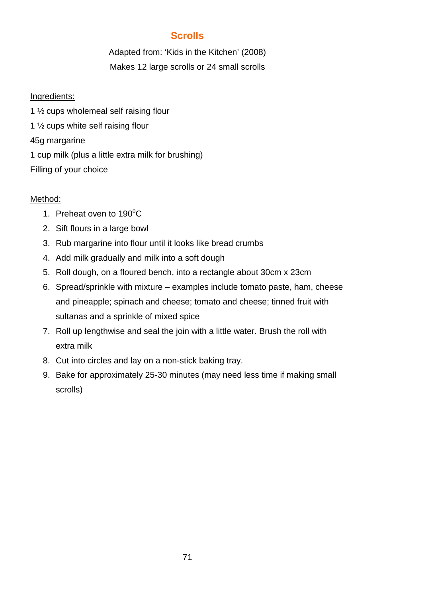## **Scrolls**

Adapted from: 'Kids in the Kitchen' (2008) Makes 12 large scrolls or 24 small scrolls

## Ingredients:

1 ½ cups wholemeal self raising flour 1 ½ cups white self raising flour 45g margarine 1 cup milk (plus a little extra milk for brushing) Filling of your choice

## Method:

- 1. Preheat oven to  $190^{\circ}$ C
- 2. Sift flours in a large bowl
- 3. Rub margarine into flour until it looks like bread crumbs
- 4. Add milk gradually and milk into a soft dough
- 5. Roll dough, on a floured bench, into a rectangle about 30cm x 23cm
- 6. Spread/sprinkle with mixture examples include tomato paste, ham, cheese and pineapple; spinach and cheese; tomato and cheese; tinned fruit with sultanas and a sprinkle of mixed spice
- 7. Roll up lengthwise and seal the join with a little water. Brush the roll with extra milk
- 8. Cut into circles and lay on a non-stick baking tray.
- 9. Bake for approximately 25-30 minutes (may need less time if making small scrolls)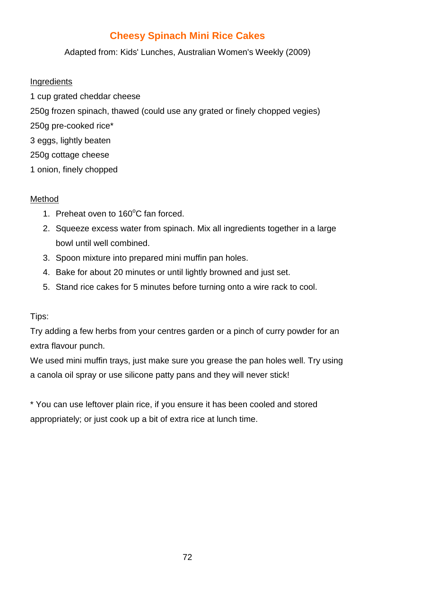# **Cheesy Spinach Mini Rice Cakes**

Adapted from: Kids' Lunches, Australian Women's Weekly (2009)

#### Ingredients

1 cup grated cheddar cheese 250g frozen spinach, thawed (could use any grated or finely chopped vegies) 250g pre-cooked rice\* 3 eggs, lightly beaten 250g cottage cheese 1 onion, finely chopped

## Method

- 1. Preheat oven to  $160^{\circ}$ C fan forced.
- 2. Squeeze excess water from spinach. Mix all ingredients together in a large bowl until well combined.
- 3. Spoon mixture into prepared mini muffin pan holes.
- 4. Bake for about 20 minutes or until lightly browned and just set.
- 5. Stand rice cakes for 5 minutes before turning onto a wire rack to cool.

#### Tips:

Try adding a few herbs from your centres garden or a pinch of curry powder for an extra flavour punch.

We used mini muffin trays, just make sure you grease the pan holes well. Try using a canola oil spray or use silicone patty pans and they will never stick!

\* You can use leftover plain rice, if you ensure it has been cooled and stored appropriately; or just cook up a bit of extra rice at lunch time.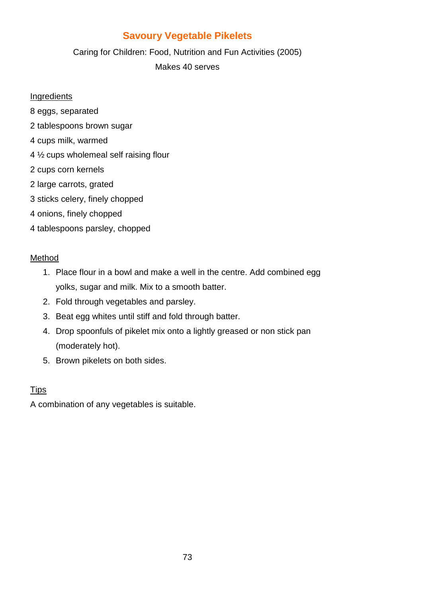# **Savoury Vegetable Pikelets**

Caring for Children: Food, Nutrition and Fun Activities (2005) Makes 40 serves

#### **Ingredients**

- 8 eggs, separated
- 2 tablespoons brown sugar
- 4 cups milk, warmed
- 4 ½ cups wholemeal self raising flour
- 2 cups corn kernels
- 2 large carrots, grated
- 3 sticks celery, finely chopped
- 4 onions, finely chopped
- 4 tablespoons parsley, chopped

#### Method

- 1. Place flour in a bowl and make a well in the centre. Add combined egg yolks, sugar and milk. Mix to a smooth batter.
- 2. Fold through vegetables and parsley.
- 3. Beat egg whites until stiff and fold through batter.
- 4. Drop spoonfuls of pikelet mix onto a lightly greased or non stick pan (moderately hot).
- 5. Brown pikelets on both sides.

### **Tips**

A combination of any vegetables is suitable.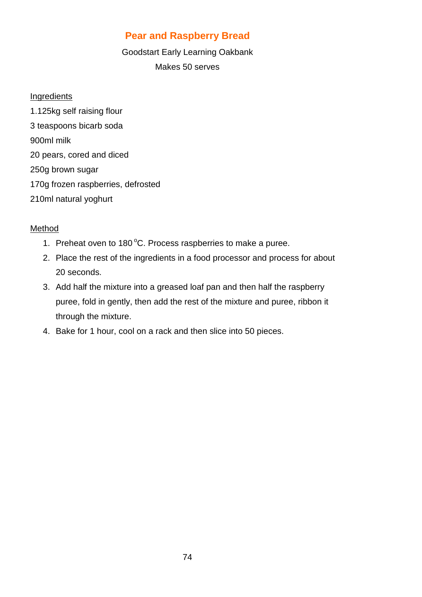## **Pear and Raspberry Bread**

### Goodstart Early Learning Oakbank Makes 50 serves

### **Ingredients**

1.125kg self raising flour 3 teaspoons bicarb soda 900ml milk 20 pears, cored and diced 250g brown sugar 170g frozen raspberries, defrosted 210ml natural yoghurt

### Method

- 1. Preheat oven to 180 $^{\circ}$ C. Process raspberries to make a puree.
- 2. Place the rest of the ingredients in a food processor and process for about 20 seconds.
- 3. Add half the mixture into a greased loaf pan and then half the raspberry puree, fold in gently, then add the rest of the mixture and puree, ribbon it through the mixture.
- 4. Bake for 1 hour, cool on a rack and then slice into 50 pieces.